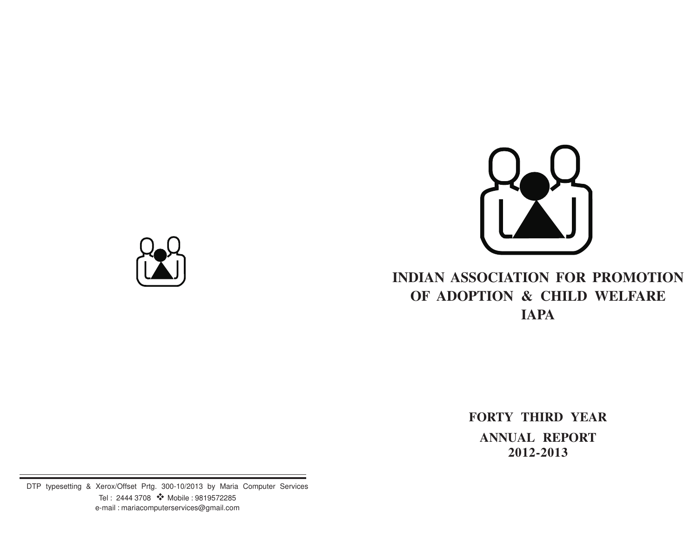

# **INDIAN ASSOCIATION FOR PROMOTION OF ADOPTION & CHILD WELFARE IAPA**

**FORTY THIRD YEAR ANNUAL REPORT 2012-2013**

DTP typesetting & Xerox/Offset Prtg. 300-10/2013 by Maria Computer Services Tel : 2444 3708 ❖ Mobile : 9819572285 e-mail : mariacomputerservices@gmail.com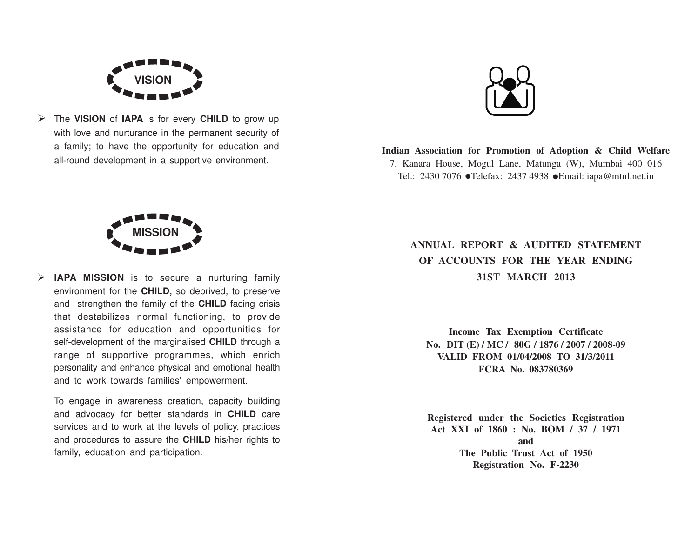

Ø The **VISION** of **IAPA** is for every **CHILD** to grow up with love and nurturance in the permanent security of a family; to have the opportunity for education and all-round development in a supportive environment.



**Indian Association for Promotion of Adoption & Child Welfare** 7, Kanara House, Mogul Lane, Matunga (W), Mumbai 400 016 Tel.: 2430 7076 ●Telefax: 2437 4938 ●Email: iapa@mtnl.net.in



Ø **IAPA MISSION** is to secure a nurturing family environment for the **CHILD,** so deprived, to preserve and strengthen the family of the **CHILD** facing crisis that destabilizes normal functioning, to provide assistance for education and opportunities for self-development of the marginalised **CHILD** through a range of supportive programmes, which enrich personality and enhance physical and emotional health and to work towards families' empowerment.

To engage in awareness creation, capacity building and advocacy for better standards in **CHILD** care services and to work at the levels of policy, practices and procedures to assure the **CHILD** his/her rights to family, education and participation.

# **ANNUAL REPORT & AUDITED STATEMENT OF ACCOUNTS FOR THE YEAR ENDING 31ST MARCH 2013**

**Income Tax Exemption Certificate No. DIT (E) / MC / 80G / 1876 / 2007 / 2008-09 VALID FROM 01/04/2008 TO 31/3/2011 FCRA No. 083780369**

**Registered under the Societies Registration Act XXI of 1860 : No. BOM / 37 / 1971 and The Public Trust Act of 1950 Registration No. F-2230**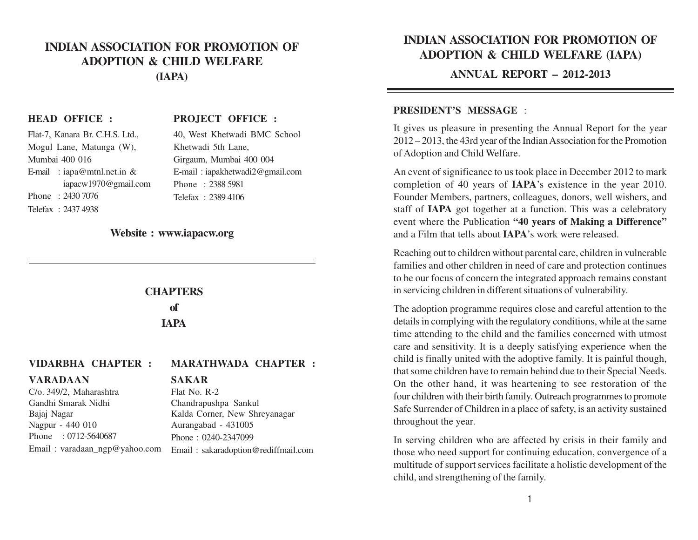## **INDIAN ASSOCIATION FOR PROMOTION OF ADOPTION & CHILD WELFARE (IAPA)**

#### **HEAD OFFICE :**

#### **PROJECT OFFICE :**

| Flat-7, Kanara Br. C.H.S. Ltd., | 40, West Khetwadi BMC School    |
|---------------------------------|---------------------------------|
| Mogul Lane, Matunga (W),        | Khetwadi 5th Lane,              |
| Mumbai 400 016                  | Girgaum, Mumbai 400 004         |
| E-mail: iapa@mtnl.net.in &      | E-mail: iapakhetwadi2@gmail.com |
| iapacw1970@gmail.com            | Phone: 2388 5981                |
| Phone: 2430 7076                | Telefax: 2389 4106              |
| Telefax: 2437 4938              |                                 |

#### **Website : www.iapacw.org**

# **CHAPTERS**

**of IAPA**

#### **VIDARBHA CHAPTER : MARATHWADA CHAPTER :**

#### **VARADAAN**

#### **SAKAR**

C/o. 349/2, Maharashtra Gandhi Smarak Nidhi Bajaj Nagar Nagpur - 440 010 Phone : 0712-5640687 Email : varadaan\_ngp@yahoo.com

Flat No. R-2 Chandrapushpa Sankul Kalda Corner, New Shreyanagar Aurangabad - 431005 Phone : 0240-2347099 Email : sakaradoption@rediffmail.com

# **INDIAN ASSOCIATION FOR PROMOTION OF ADOPTION & CHILD WELFARE (IAPA)**

**ANNUAL REPORT – 2012-2013**

#### **PRESIDENT'S MESSAGE** :

It gives us pleasure in presenting the Annual Report for the year 2012 – 2013, the 43rd year of the Indian Association for the Promotion of Adoption and Child Welfare.

An event of significance to us took place in December 2012 to mark completion of 40 years of **IAPA**'s existence in the year 2010. Founder Members, partners, colleagues, donors, well wishers, and staff of **IAPA** got together at a function. This was a celebratory event where the Publication **"40 years of Making a Difference"** and a Film that tells about **IAPA**'s work were released.

Reaching out to children without parental care, children in vulnerable families and other children in need of care and protection continues to be our focus of concern the integrated approach remains constant in servicing children in different situations of vulnerability.

The adoption programme requires close and careful attention to the details in complying with the regulatory conditions, while at the same time attending to the child and the families concerned with utmost care and sensitivity. It is a deeply satisfying experience when the child is finally united with the adoptive family. It is painful though, that some children have to remain behind due to their Special Needs. On the other hand, it was heartening to see restoration of the four children with their birth family. Outreach programmes to promote Safe Surrender of Children in a place of safety, is an activity sustained throughout the year.

In serving children who are affected by crisis in their family and those who need support for continuing education, convergence of a multitude of support services facilitate a holistic development of the child, and strengthening of the family.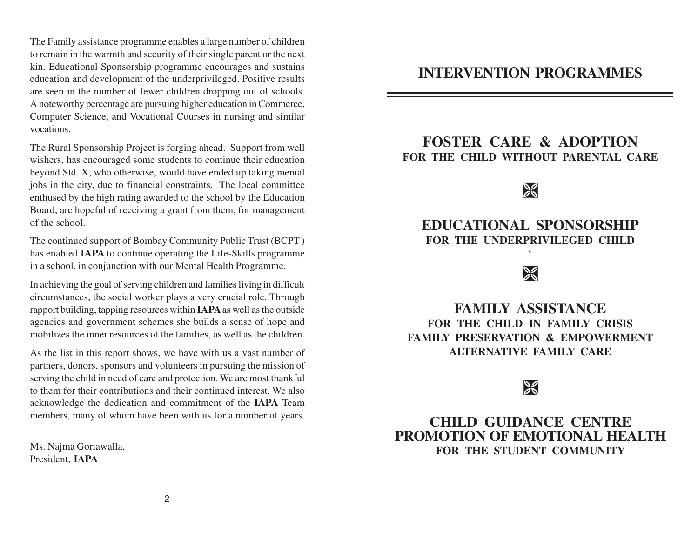The Family assistance programme enables a large number of children to remain in the warmth and security of their single parent or the next kin. Educational Sponsorship programme encourages and sustains education and development of the underprivileged. Positive results are seen in the number of fewer children dropping out of schools. A noteworthy percentage are pursuing higher education in Commerce, Computer Science, and Vocational Courses in nursing and similar vocations.

The Rural Sponsorship Project is forging ahead. Support from well wishers, has encouraged some students to continue their education beyond Std. X, who otherwise, would have ended up taking menial jobs in the city, due to financial constraints. The local committee enthused by the high rating awarded to the school by the Education Board, are hopeful of receiving a grant from them, for management of the school.

The continued support of Bombay Community Public Trust (BCPT ) has enabled **IAPA** to continue operating the Life-Skills programme in a school, in conjunction with our Mental Health Programme.

In achieving the goal of serving children and families living in difficult circumstances, the social worker plays a very crucial role. Through rapport building, tapping resources within **IAPA** as well as the outside agencies and government schemes she builds a sense of hope and mobilizes the inner resources of the families, as well as the children.

As the list in this report shows, we have with us a vast number of partners, donors, sponsors and volunteers in pursuing the mission of serving the child in need of care and protection. We are most thankful to them for their contributions and their continued interest. We also acknowledge the dedication and commitment of the **IAPA** Team members, many of whom have been with us for a number of years.

Ms. Najma Goriawalla, President, **IAPA**

# **INTERVENTION PROGRAMMES**

# **FOSTER CARE & ADOPTION FOR THE CHILD WITHOUT PARENTAL CARE**

# $\%$

# **EDUCATIONAL SPONSORSHIP FOR THE UNDERPRIVILEGED CHILD**

**`**

# $\frac{1}{2}$

**FAMILY ASSISTANCE FOR THE CHILD IN FAMILY CRISIS FAMILY PRESERVATION & EMPOWERMENT ALTERNATIVE FAMILY CARE**

# $\mathcal{L}$

# **CHILD GUIDANCE CENTRE PROMOTION OF EMOTIONAL HEALTH FOR THE STUDENT COMMUNITY**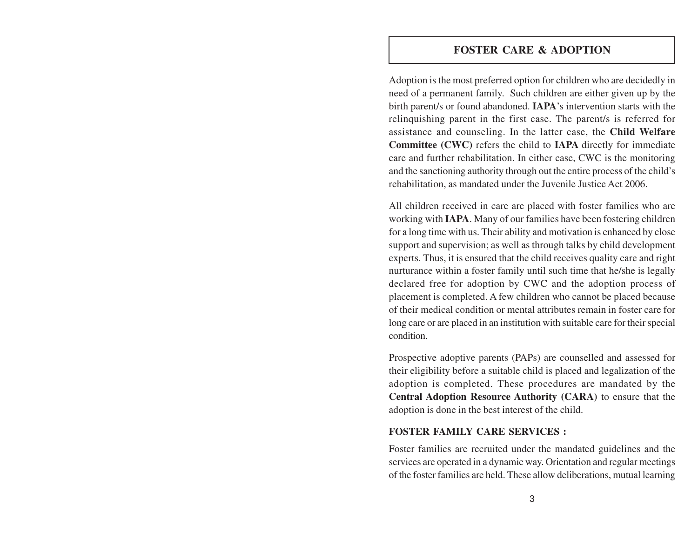#### **FOSTER CARE & ADOPTION**

Adoption is the most preferred option for children who are decidedly in need of a permanent family. Such children are either given up by the birth parent/s or found abandoned. **IAPA**'s intervention starts with the relinquishing parent in the first case. The parent/s is referred for assistance and counseling. In the latter case, the **Child Welfare Committee (CWC)** refers the child to **IAPA** directly for immediate care and further rehabilitation. In either case, CWC is the monitoring and the sanctioning authority through out the entire process of the child's rehabilitation, as mandated under the Juvenile Justice Act 2006.

All children received in care are placed with foster families who are working with **IAPA**. Many of our families have been fostering children for a long time with us. Their ability and motivation is enhanced by close support and supervision; as well as through talks by child development experts. Thus, it is ensured that the child receives quality care and right nurturance within a foster family until such time that he/she is legally declared free for adoption by CWC and the adoption process of placement is completed. A few children who cannot be placed because of their medical condition or mental attributes remain in foster care for long care or are placed in an institution with suitable care for their special condition.

Prospective adoptive parents (PAPs) are counselled and assessed for their eligibility before a suitable child is placed and legalization of the adoption is completed. These procedures are mandated by the **Central Adoption Resource Authority (CARA)** to ensure that the adoption is done in the best interest of the child.

#### **FOSTER FAMILY CARE SERVICES :**

Foster families are recruited under the mandated guidelines and the services are operated in a dynamic way. Orientation and regular meetings of the foster families are held. These allow deliberations, mutual learning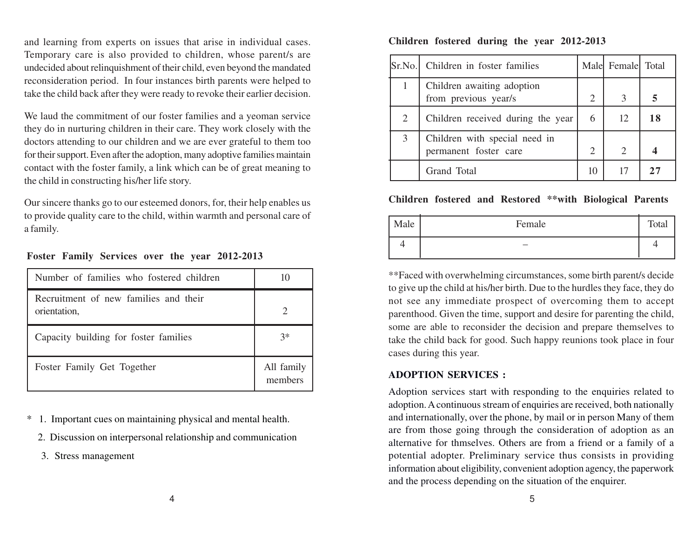and learning from experts on issues that arise in individual cases. Temporary care is also provided to children, whose parent/s are undecided about relinquishment of their child, even beyond the mandated reconsideration period. In four instances birth parents were helped to take the child back after they were ready to revoke their earlier decision.

We laud the commitment of our foster families and a yeoman service they do in nurturing children in their care. They work closely with the doctors attending to our children and we are ever grateful to them too for their support. Even after the adoption, many adoptive families maintain contact with the foster family, a link which can be of great meaning to the child in constructing his/her life story.

Our sincere thanks go to our esteemed donors, for, their help enables us to provide quality care to the child, within warmth and personal care of a family.

| Number of families who fostered children              | 10                    |
|-------------------------------------------------------|-----------------------|
| Recruitment of new families and their<br>orientation, | っ                     |
| Capacity building for foster families                 | $3*$                  |
| Foster Family Get Together                            | All family<br>members |

#### **Foster Family Services over the year 2012-2013**

\* 1. Important cues on maintaining physical and mental health.

- 2. Discussion on interpersonal relationship and communication
- 3. Stress management

#### **Children fostered during the year 2012-2013**

| Sr.No. | Children in foster families                            |                | Male Female Total           |    |
|--------|--------------------------------------------------------|----------------|-----------------------------|----|
|        | Children awaiting adoption<br>from previous year/s     | $\overline{2}$ |                             |    |
| 2      | Children received during the year                      | 6              | 12                          | 18 |
| 3      | Children with special need in<br>permanent foster care |                | $\mathcal{D}_{\mathcal{L}}$ |    |
|        | Grand Total                                            |                |                             |    |

#### **Children fostered and Restored \*\*with Biological Parents**

| Male | Female | Total |
|------|--------|-------|
|      | -      |       |

\*\*Faced with overwhelming circumstances, some birth parent/s decide to give up the child at his/her birth. Due to the hurdles they face, they do not see any immediate prospect of overcoming them to accept parenthood. Given the time, support and desire for parenting the child, some are able to reconsider the decision and prepare themselves to take the child back for good. Such happy reunions took place in four cases during this year.

#### **ADOPTION SERVICES :**

Adoption services start with responding to the enquiries related to adoption. A continuous stream of enquiries are received, both nationally and internationally, over the phone, by mail or in person Many of them are from those going through the consideration of adoption as an alternative for thmselves. Others are from a friend or a family of a potential adopter. Preliminary service thus consists in providing information about eligibility, convenient adoption agency, the paperwork and the process depending on the situation of the enquirer.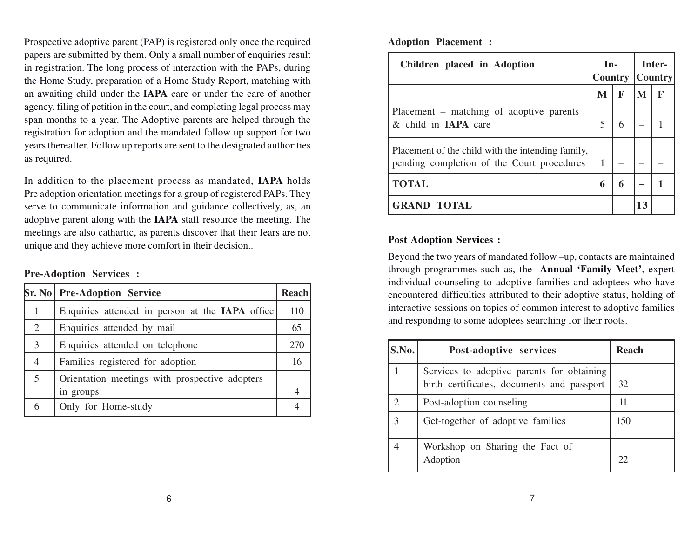Prospective adoptive parent (PAP) is registered only once the required papers are submitted by them. Only a small number of enquiries result in registration. The long process of interaction with the PAPs, during the Home Study, preparation of a Home Study Report, matching with an awaiting child under the **IAPA** care or under the care of another agency, filing of petition in the court, and completing legal process may span months to a year. The Adoptive parents are helped through the registration for adoption and the mandated follow up support for two years thereafter. Follow up reports are sent to the designated authorities as required.

In addition to the placement process as mandated, **IAPA** holds Pre adoption orientation meetings for a group of registered PAPs. They serve to communicate information and guidance collectively, as, an adoptive parent along with the **IAPA** staff resource the meeting. The meetings are also cathartic, as parents discover that their fears are not unique and they achieve more comfort in their decision..

#### **Pre-Adoption Services :**

|   | <b>Sr. No   Pre-Adoption Service</b>            |     |
|---|-------------------------------------------------|-----|
|   | Enquiries attended in person at the IAPA office | 110 |
| 2 | Enquiries attended by mail                      | 65  |
| 3 | Enquiries attended on telephone                 |     |
| 4 | Families registered for adoption                |     |
| 5 | Orientation meetings with prospective adopters  |     |
|   | in groups                                       |     |
| 6 | Only for Home-study                             |     |

**Adoption Placement :**

| Children placed in Adoption                                                                     | $In-$<br><b>Country</b> |   | Inter-<br>  Country |   |
|-------------------------------------------------------------------------------------------------|-------------------------|---|---------------------|---|
|                                                                                                 | M                       | F | M                   | F |
| Placement – matching of adoptive parents<br>& child in IAPA care                                |                         |   |                     |   |
| Placement of the child with the intending family,<br>pending completion of the Court procedures |                         |   |                     |   |
| <b>TOTAL</b>                                                                                    | 6                       | 6 |                     |   |
| <b>GRAND TOTAL</b>                                                                              |                         |   | 13                  |   |

#### **Post Adoption Services :**

Beyond the two years of mandated follow –up, contacts are maintained through programmes such as, the **Annual 'Family Meet'**, exper<sup>t</sup> individual counseling to adoptive families and adoptees who have encountered difficulties attributed to their adoptive status, holding of interactive sessions on topics of common interest to adoptive families and responding to some adoptees searching for their roots.

| S.No. | Post-adoptive services                                                                   | Reach |
|-------|------------------------------------------------------------------------------------------|-------|
|       | Services to adoptive parents for obtaining<br>birth certificates, documents and passport | 32    |
|       | Post-adoption counseling                                                                 | 11    |
| 3     | Get-together of adoptive families                                                        | 150   |
|       | Workshop on Sharing the Fact of<br>Adoption                                              | フフ    |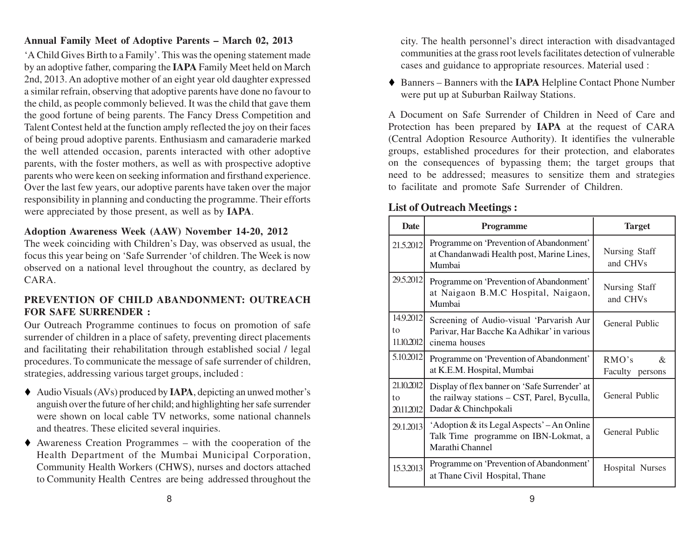### **Annual Family Meet of Adoptive Parents – March 02, 2013**

'A Child Gives Birth to a Family'. This was the opening statement made by an adoptive father, comparing the **IAPA** Family Meet held on March 2nd, 2013. An adoptive mother of an eight year old daughter expressed a similar refrain, observing that adoptive parents have done no favour to the child, as people commonly believed. It was the child that gave them the good fortune of being parents. The Fancy Dress Competition and Talent Contest held at the function amply reflected the joy on their faces of being proud adoptive parents. Enthusiasm and camaraderie marked the well attended occasion, parents interacted with other adoptive parents, with the foster mothers, as well as with prospective adoptive parents who were keen on seeking information and firsthand experience. Over the last few years, our adoptive parents have taken over the major responsibility in planning and conducting the programme. Their efforts were appreciated by those present, as well as by **IAPA**.

#### **Adoption Awareness Week (AAW) November 14-20, 2012**

The week coinciding with Children's Day, was observed as usual, the focus this year being on 'Safe Surrender 'of children. The Week is now observed on a national level throughout the country, as declared by CARA.

#### **PREVENTION OF CHILD ABANDONMENT: OUTREACH FOR SAFE SURRENDER :**

Our Outreach Programme continues to focus on promotion of safe surrender of children in a place of safety, preventing direct placements and facilitating their rehabilitation through established social / legal procedures. To communicate the message of safe surrender of children, strategies, addressing various target groups, included :

- ◆ Audio Visuals (AVs) produced by **IAPA**, depicting an unwed mother's anguish over the future of her child; and highlighting her safe surrender were shown on local cable TV networks, some national channels and theatres. These elicited several inquiries.
- Awareness Creation Programmes with the cooperation of the Health Department of the Mumbai Municipal Corporation, Community Health Workers (CHWS), nurses and doctors attached to Community Health Centres are being addressed throughout the

city. The health personnel's direct interaction with disadvantaged communities at the grass root levels facilitates detection of vulnerable cases and guidance to appropriate resources. Material used :

◆ Banners – Banners with the **IAPA** Helpline Contact Phone Number were put up at Suburban Railway Stations.

A Document on Safe Surrender of Children in Need of Care and Protection has been prepared by **IAPA** at the request of CARA (Central Adoption Resource Authority). It identifies the vulnerable groups, established procedures for their protection, and elaborates on the consequences of bypassing them; the target groups that need to be addressed; measures to sensitize them and strategies to facilitate and promote Safe Surrender of Children.

## **List of Outreach Meetings :**

| <b>Date</b>                    | <b>Programme</b>                                                                                                     | <b>Target</b>                    |
|--------------------------------|----------------------------------------------------------------------------------------------------------------------|----------------------------------|
| 21.5.2012                      | Programme on 'Prevention of Abandonment'<br>at Chandanwadi Health post, Marine Lines,<br>Mumbai                      | Nursing Staff<br>and CHVs        |
| 29.5.2012                      | Programme on 'Prevention of Abandonment'<br>at Naigaon B.M.C Hospital, Naigaon,<br>Mumbai                            | Nursing Staff<br>and CHVs        |
| 14.9.2012<br>to<br>11.10.2012  | Screening of Audio-visual 'Parvarish Aur<br>Parivar, Har Bacche Ka Adhikar' in various<br>cinema houses              | General Public                   |
| 5.10.2012                      | Programme on 'Prevention of Abandonment'<br>at K.E.M. Hospital, Mumbai                                               | RMO's<br>$\&$<br>Faculty persons |
| 21.10.2012<br>tο<br>20.11.2012 | Display of flex banner on 'Safe Surrender' at<br>the railway stations - CST, Parel, Byculla,<br>Dadar & Chinchpokali | General Public                   |
| 29.1.2013                      | 'Adoption & its Legal Aspects' – An Online<br>Talk Time programme on IBN-Lokmat, a<br>Marathi Channel                | General Public                   |
| 15.3.2013                      | Programme on 'Prevention of Abandonment'<br>at Thane Civil Hospital, Thane                                           | <b>Hospital Nurses</b>           |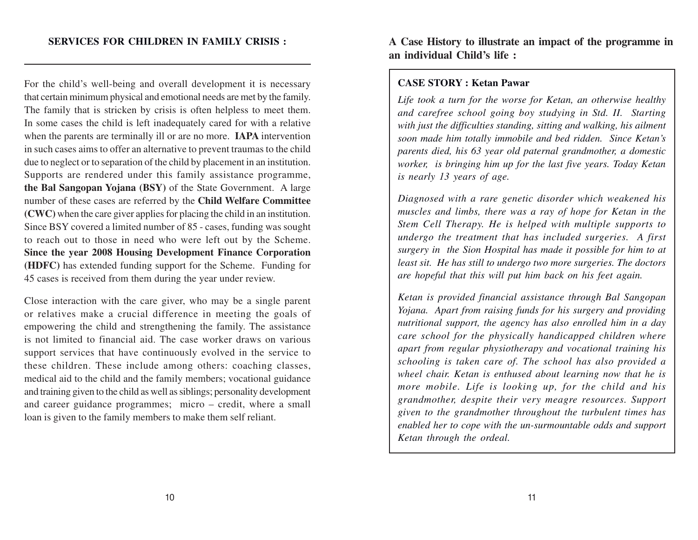For the child's well-being and overall development it is necessary that certain minimum physical and emotional needs are met by the family. The family that is stricken by crisis is often helpless to meet them. In some cases the child is left inadequately cared for with a relative when the parents are terminally ill or are no more. **IAPA** intervention in such cases aims to offer an alternative to prevent traumas to the child due to neglect or to separation of the child by placement in an institution. Supports are rendered under this family assistance programme, **the Bal Sangopan Yojana (BSY)** of the State Government. A large number of these cases are referred by the **Child Welfare Committee (CWC)** when the care giver applies for placing the child in an institution. Since BSY covered a limited number of 85 - cases, funding was sought to reach out to those in need who were left out by the Scheme. **Since the year 2008 Housing Development Finance Corporation (HDFC)** has extended funding support for the Scheme. Funding for 45 cases is received from them during the year under review.

Close interaction with the care giver, who may be a single parent or relatives make a crucial difference in meeting the goals of empowering the child and strengthening the family. The assistance is not limited to financial aid. The case worker draws on various support services that have continuously evolved in the service to these children. These include among others: coaching classes, medical aid to the child and the family members; vocational guidance and training given to the child as well as siblings; personality development and career guidance programmes; micro – credit, where a small loan is given to the family members to make them self reliant.

**A Case History to illustrate an impact of the programme in an individual Child's life :**

#### **CASE STORY : Ketan Pawar**

*Life took a turn for the worse for Ketan, an otherwise healthy and carefree school going boy studying in Std. II. Starting with just the difficulties standing, sitting and walking, his ailment soon made him totally immobile and bed ridden. Since Ketan's parents died, his 63 year old paternal grandmother, a domestic worker, is bringing him up for the last five years. Today Ketan is nearly 13 years of age.*

*Diagnosed with a rare genetic disorder which weakened his muscles and limbs, there was a ray of hope for Ketan in the Stem Cell Therapy. He is helped with multiple supports to undergo the treatment that has included surgeries. A first surgery in the Sion Hospital has made it possible for him to at least sit. He has still to undergo two more surgeries. The doctors are hopeful that this will put him back on his feet again.*

*Ketan is provided financial assistance through Bal Sangopan Yojana. Apart from raising funds for his surgery and providing nutritional support, the agency has also enrolled him in a day care school for the physically handicapped children where apart from regular physiotherapy and vocational training his schooling is taken care of. The school has also provided a wheel chair. Ketan is enthused about learning now that he is more mobile. Life is looking up, for the child and his grandmother, despite their very meagre resources. Support given to the grandmother throughout the turbulent times has enabled her to cope with the un-surmountable odds and support Ketan through the ordeal.*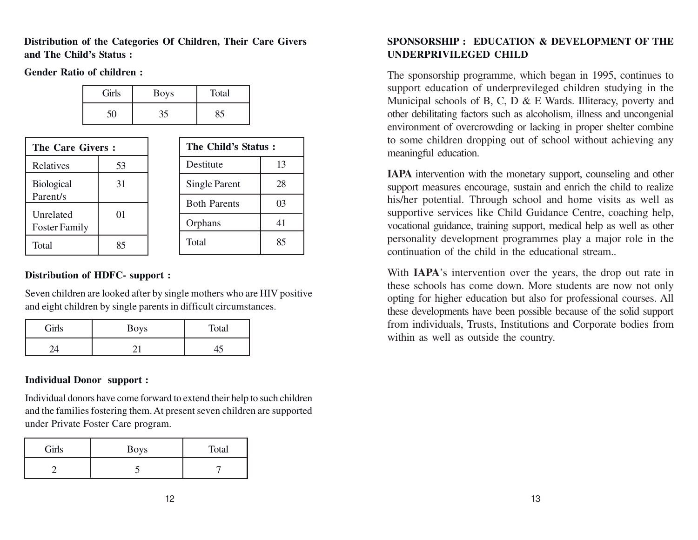**Distribution of the Categories Of Children, Their Care Givers and The Child's Status :**

**Gender Ratio of children :**

| Girls | <b>Boys</b> | Total |
|-------|-------------|-------|
|       | 35          |       |

| The Care Givers:                  |    |  | The Child's Status: |    |
|-----------------------------------|----|--|---------------------|----|
| Relatives                         | 53 |  | Destitute           |    |
| <b>Biological</b>                 | 31 |  | Single Parent       | 28 |
| Parent/s                          | 01 |  | <b>Both Parents</b> | 03 |
| Unrelated<br><b>Foster Family</b> |    |  | Orphans             |    |
| Total                             | 85 |  | Total               | 85 |

#### **Distribution of HDFC- support :**

Seven children are looked after by single mothers who are HIV positive and eight children by single parents in difficult circumstances.

| Girls | Boys | Total |
|-------|------|-------|
|       |      |       |

#### **Individual Donor support :**

Individual donors have come forward to extend their help to such children and the families fostering them. At present seven children are supported under Private Foster Care program.

| Girls | <b>Boys</b> | Total |
|-------|-------------|-------|
|       |             |       |

## **SPONSORSHIP : EDUCATION & DEVELOPMENT OF THE UNDERPRIVILEGED CHILD**

The sponsorship programme, which began in 1995, continues to support education of underprevileged children studying in the Municipal schools of B, C, D & E Wards. Illiteracy, poverty and other debilitating factors such as alcoholism, illness and uncongenial environment of overcrowding or lacking in proper shelter combine to some children dropping out of school without achieving any meaningful education.

**IAPA** intervention with the monetary support, counseling and other support measures encourage, sustain and enrich the child to realize his/her potential. Through school and home visits as well as supportive services like Child Guidance Centre, coaching help, vocational guidance, training support, medical help as well as other personality development programmes play a major role in the continuation of the child in the educational stream..

With **IAPA**'s intervention over the years, the drop out rate in these schools has come down. More students are now not only opting for higher education but also for professional courses. All these developments have been possible because of the solid support from individuals, Trusts, Institutions and Corporate bodies from within as well as outside the country.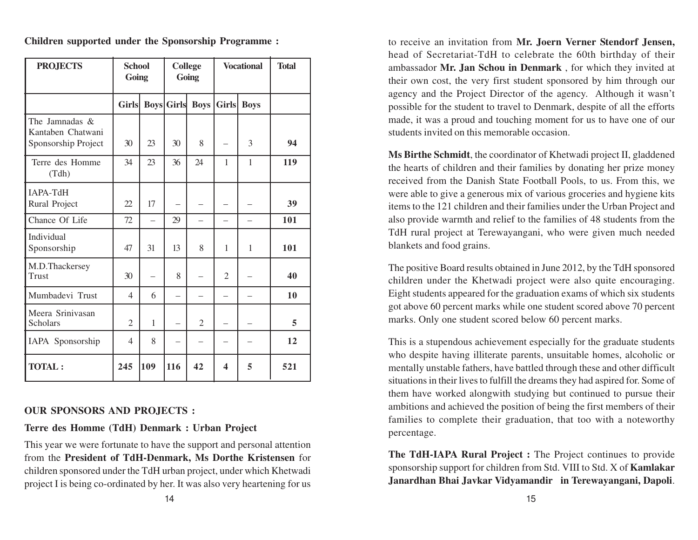| <b>PROJECTS</b>                                            | <b>School</b><br>Going   |             |                          | <b>College</b><br>Going | <b>Vocational</b> |              | <b>Total</b> |
|------------------------------------------------------------|--------------------------|-------------|--------------------------|-------------------------|-------------------|--------------|--------------|
|                                                            | <b>Girls</b>             | <b>Boys</b> | <b>Girls</b>             | <b>Boys</b>             | <b>Girls</b>      | <b>Boys</b>  |              |
| The Jamnadas &<br>Kantaben Chatwani<br>Sponsorship Project | 30                       | 23          | 30                       | 8                       |                   | 3            | 94           |
| Terre des Homme<br>(Tdh)                                   | 34                       | 23          | 36                       | 24                      | $\mathbf{1}$      | $\mathbf{1}$ | 119          |
| IAPA-TdH<br>Rural Project                                  | 22                       | 17          |                          |                         |                   |              | 39           |
| Chance Of Life                                             | 72                       |             | 29                       |                         |                   |              | 101          |
| Individual<br>Sponsorship                                  | 47                       | 31          | 13                       | 8                       | 1                 | 1            | 101          |
| M.D.Thackersey<br><b>Trust</b>                             | 30                       |             | 8                        |                         | 2                 |              | 40           |
| Mumbadevi Trust                                            | 4                        | 6           | $\overline{\phantom{0}}$ |                         |                   |              | 10           |
| Meera Srinivasan<br><b>Scholars</b>                        | $\overline{2}$           | 1           |                          | $\mathfrak{2}$          |                   |              | 5            |
| IAPA Sponsorship                                           | $\overline{\mathcal{L}}$ | 8           | —                        |                         |                   |              | 12           |
| <b>TOTAL:</b>                                              | 245                      | 109         | 116                      | 42                      | $\boldsymbol{4}$  | 5            | 521          |

**Children supported under the Sponsorship Programme :**

#### **OUR SPONSORS AND PROJECTS :**

**Terre des Homme (TdH) Denmark : Urban Project**

This year we were fortunate to have the support and personal attention from the **President of TdH-Denmark, Ms Dorthe Kristensen** for children sponsored under the TdH urban project, under which Khetwadi project I is being co-ordinated by her. It was also very heartening for us

to receive an invitation from **Mr. Joern Verner Stendorf Jensen,** head of Secretariat-TdH to celebrate the 60th birthday of their ambassador **Mr. Jan Schou in Denmark** , for which they invited at their own cost, the very first student sponsored by him through our agency and the Project Director of the agency. Although it wasn't possible for the student to travel to Denmark, despite of all the efforts made, it was a proud and touching moment for us to have one of our students invited on this memorable occasion.

**Ms Birthe Schmidt**, the coordinator of Khetwadi project II, gladdened the hearts of children and their families by donating her prize money received from the Danish State Football Pools, to us. From this, we were able to give a generous mix of various groceries and hygiene kits items to the 121 children and their families under the Urban Project and also provide warmth and relief to the families of 48 students from the TdH rural project at Terewayangani, who were given much needed blankets and food grains.

The positive Board results obtained in June 2012, by the TdH sponsored children under the Khetwadi project were also quite encouraging. Eight students appeared for the graduation exams of which six students got above 60 percent marks while one student scored above 70 percent marks. Only one student scored below 60 percent marks.

This is a stupendous achievement especially for the graduate students who despite having illiterate parents, unsuitable homes, alcoholic or mentally unstable fathers, have battled through these and other difficult situations in their lives to fulfill the dreams they had aspired for. Some of them have worked alongwith studying but continued to pursue their ambitions and achieved the position of being the first members of their families to complete their graduation, that too with a noteworthy percentage.

**The TdH-IAPA Rural Project :** The Project continues to provide sponsorship support for children from Std. VIII to Std. X of **Kamlakar Janardhan Bhai Javkar Vidyamandir in Terewayangani, Dapoli**.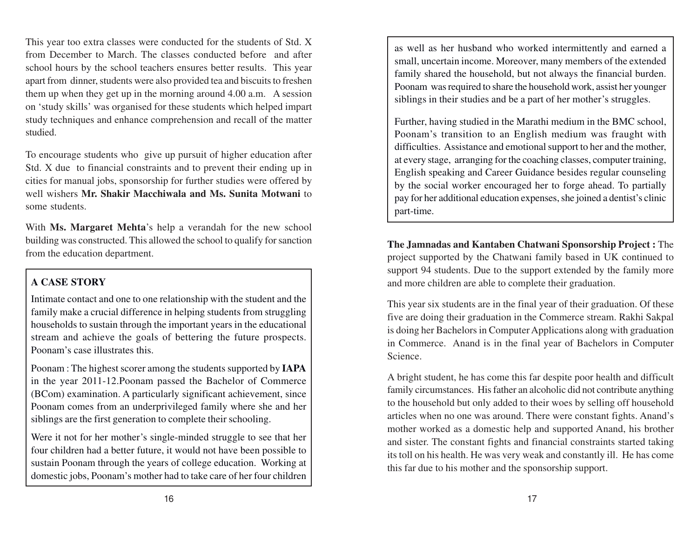This year too extra classes were conducted for the students of Std. X from December to March. The classes conducted before and after school hours by the school teachers ensures better results. This year apart from dinner, students were also provided tea and biscuits to freshen them up when they get up in the morning around 4.00 a.m. A session on 'study skills' was organised for these students which helped impart study techniques and enhance comprehension and recall of the matter studied.

To encourage students who give up pursuit of higher education after Std. X due to financial constraints and to prevent their ending up in cities for manual jobs, sponsorship for further studies were offered by well wishers **Mr. Shakir Macchiwala and Ms. Sunita Motwani** to some students.

With **Ms. Margaret Mehta**'s help a verandah for the new school building was constructed. This allowed the school to qualify for sanction from the education department.

# **A CASE STOR Y**

Intimate contact and one to one relationship with the student and the family make a crucial difference in helping students from struggling households to sustain through the important years in the educational stream and achieve the goals of bettering the future prospects. Poonam's case illustrates this.

Poonam : The highest scorer among the students supported by **IAPA** in the year 2011-12.Poonam passed the Bachelor of Commerce (BCom) examination. A particularly significant achievement, since Poonam comes from an underprivileged family where she and her siblings are the first generation to complete their schooling.

Were it not for her mother's single-minded struggle to see that her four children had a better future, it would not have been possible to sustain Poonam through the years of college education. Working at domestic jobs, Poonam's mother had to take care of her four children

as well as her husband who worked intermittently and earned a small, uncertain income. Moreover, many members of the extended family shared the household, but not always the financial burden. Poonam was required to share the household work, assist her younger siblings in their studies and be a part of her mother's struggles.

Further, having studied in the Marathi medium in the BMC school, Poonam's transition to an English medium was fraught with difficulties. Assistance and emotional support to her and the mother, at every stage, arranging for the coaching classes, computer training, English speaking and Career Guidance besides regular counseling by the social worker encouraged her to forge ahead. To partially pay for her additional education expenses, she joined a dentist's clinic part-time.

**The Jamnadas and Kantaben Chatwani Sponsorship Project :** The project supported by the Chatwani family based in UK continued to support 94 students. Due to the support extended by the family more and more children are able to complete their graduation.

This year six students are in the final year of their graduation. Of these five are doing their graduation in the Commerce stream. Rakhi Sakpal is doing her Bachelors in Computer Applications along with graduation in Commerce. Anand is in the final year of Bachelors in Computer Science.

A bright student, he has come this far despite poor health and difficult family circumstances. His father an alcoholic did not contribute anything to the household but only added to their woes by selling off household articles when no one was around. There were constant fights. Anand's mother worked as a domestic help and supported Anand, his brother and sister. The constant fights and financial constraints started taking its toll on his health. He was very weak and constantly ill. He has come this far due to his mother and the sponsorship support.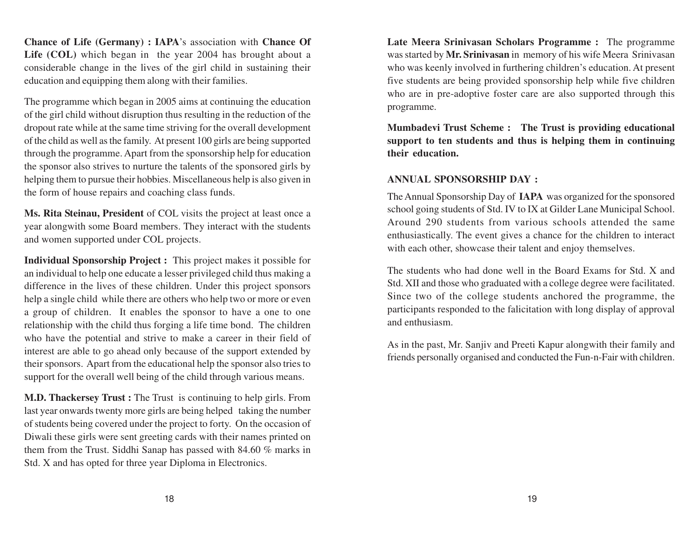**Chance of Life (Germany) : IAPA**'s association with **Chance Of** Life (COL) which began in the year 2004 has brought about a considerable change in the lives of the girl child in sustaining their education and equipping them along with their families.

The programme which began in 2005 aims at continuing the education of the girl child without disruption thus resulting in the reduction of the dropout rate while at the same time striving for the overall development of the child as well as the family. At present 100 girls are being supported through the programme. Apart from the sponsorship help for education the sponsor also strives to nurture the talents of the sponsored girls by helping them to pursue their hobbies. Miscellaneous help is also given in the form of house repairs and coaching class funds.

**Ms. Rita Steinau, President** of COL visits the project at least once a year alongwith some Board members. They interact with the students and women supported under COL projects.

**Individual Sponsorship Project :** This project makes it possible for an individual to help one educate a lesser privileged child thus making a difference in the lives of these children. Under this project sponsors help a single child while there are others who help two or more or even a group of children. It enables the sponsor to have a one to one relationship with the child thus forging a life time bond. The children who have the potential and strive to make a career in their field of interest are able to go ahead only because of the support extended by their sponsors. Apart from the educational help the sponsor also tries to support for the overall well being of the child through various means.

**M.D. Thackersey Trust :** The Trust is continuing to help girls. From last year onwards twenty more girls are being helped taking the number of students being covered under the project to forty. On the occasion of Diwali these girls were sent greeting cards with their names printed on them from the Trust. Siddhi Sanap has passed with 84.60 % marks in Std. X and has opted for three year Diploma in Electronics.

**Late Meera Srinivasan Scholars Programme :** The programme was started by **Mr. Srinivasan** in memory of his wife Meera Srinivasan who was keenly involved in furthering children's education. At present five students are being provided sponsorship help while five children who are in pre-adoptive foster care are also supported through this programme.

**Mumbadevi Trust Scheme : The Trust is providing educational support to ten students and thus is helping them in continuing their education.**

#### **ANNUAL SPONSORSHIP DAY :**

The Annual Sponsorship Day of **IAPA** was organized for the sponsored school going students of Std. IV to IX at Gilder Lane Municipal School. Around 290 students from various schools attended the same enthusiastically. The event gives a chance for the children to interact with each other, showcase their talent and enjoy themselves.

The students who had done well in the Board Exams for Std. X and Std. XII and those who graduated with a college degree were facilitated. Since two of the college students anchored the programme, the participants responded to the falicitation with long display of approval and enthusiasm.

As in the past, Mr. Sanjiv and Preeti Kapur alongwith their family and friends personally organised and conducted the Fun-n-Fair with children.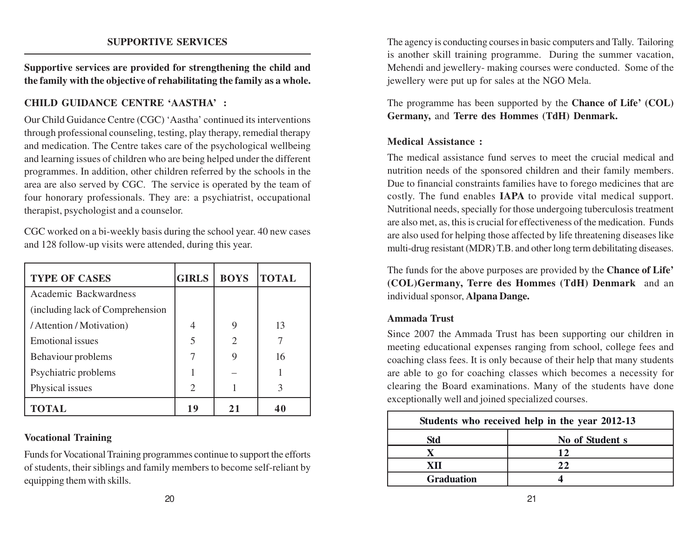#### **SUPPORTIVE SERVICES**

**Supportive services are provided for strengthening the child and the family with the objective of rehabilitating the family as a whole.**

#### **CHILD GUIDANCE CENTRE 'AASTHA' :**

Our Child Guidance Centre (CGC) 'Aastha' continued its interventions through professional counseling, testing, play therapy, remedial therapy and medication. The Centre takes care of the psychological wellbeing and learning issues of children who are being helped under the different programmes. In addition, other children referred by the schools in the area are also served by CGC. The service is operated by the team of four honorary professionals. They are: a psychiatrist, occupational therapist, psychologist and a counselor.

CGC worked on a bi-weekly basis during the school year. 40 new cases and 128 follow-up visits were attended, during this year.

| <b>TYPE OF CASES</b>              | <b>GIRLS</b>                | <b>BOYS</b>                 | <b>TOTAL</b> |
|-----------------------------------|-----------------------------|-----------------------------|--------------|
| Academic Backwardness             |                             |                             |              |
| (including lack of Comprehension) |                             |                             |              |
| / Attention / Motivation)         | 4                           | 9                           | 13           |
| <b>Emotional</b> issues           | 5                           | $\mathcal{D}_{\mathcal{L}}$ |              |
| Behaviour problems                |                             |                             | 16           |
| Psychiatric problems              |                             |                             |              |
| Physical issues                   | $\mathcal{D}_{\mathcal{A}}$ |                             |              |
| <b>TOTAL</b>                      | 19                          | 21                          | 40           |

#### **Vocational Training**

Funds for Vocational Training programmes continue to support the efforts of students, their siblings and family members to become self-reliant by equipping them with skills.

The agency is conducting courses in basic computers and Tally. Tailoring is another skill training programme. During the summer vacation, Mehendi and jewellery- making courses were conducted. Some of the jewellery were put up for sales at the NGO Mela.

The programme has been supported by the **Chance of Life' (COL) Germany,** and **Terre des Hommes (TdH) Denmark.**

#### **Medical Assistance :**

The medical assistance fund serves to meet the crucial medical and nutrition needs of the sponsored children and their family members. Due to financial constraints families have to forego medicines that are costly. The fund enables **IAPA** to provide vital medical support. Nutritional needs, specially for those undergoing tuberculosis treatment are also met, as, this is crucial for effectiveness of the medication. Funds are also used for helping those affected by life threatening diseases like multi-drug resistant (MDR) T.B. and other long term debilitating diseases.

The funds for the above purposes are provided by the **Chance of Life' (COL)Germany, Terre des Hommes (TdH) Denmark** and an individual sponsor, **Alpana Dange.**

#### **Ammada Trust**

Since 2007 the Ammada Trust has been supporting our children in meeting educational expenses ranging from school, college fees and coaching class fees. It is only because of their help that many students are able to go for coaching classes which becomes a necessity for clearing the Board examinations. Many of the students have done exceptionally well and joined specialized courses.

| Students who received help in the year 2012-13 |                 |  |  |  |
|------------------------------------------------|-----------------|--|--|--|
| Std                                            | No of Student s |  |  |  |
|                                                | 19              |  |  |  |
|                                                | 22              |  |  |  |
| <b>Graduation</b>                              |                 |  |  |  |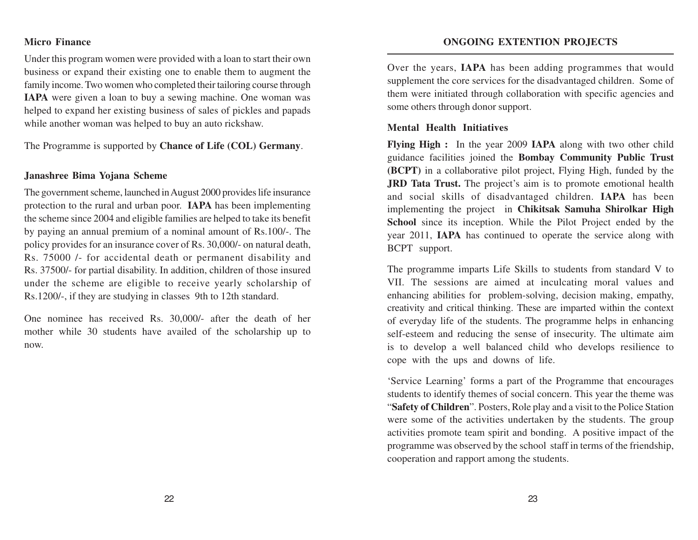#### **Micro Finance**

Under this program women were provided with a loan to start their own business or expand their existing one to enable them to augment the family income. Two women who completed their tailoring course through **IAPA** were given a loan to buy a sewing machine. One woman was helped to expand her existing business of sales of pickles and papads while another woman was helped to buy an auto rickshaw.

The Programme is supported by **Chance of Life (COL) Germany**.

#### **Janashree Bima Yojana Scheme**

The government scheme, launched in August 2000 provides life insurance protection to the rural and urban poor. **IAPA** has been implementing the scheme since 2004 and eligible families are helped to take its benefit by paying an annual premium of a nominal amount of Rs.100/-. The policy provides for an insurance cover of Rs. 30,000/- on natural death, Rs. 75000 /- for accidental death or permanent disability and Rs. 37500/- for partial disability. In addition, children of those insured under the scheme are eligible to receive yearly scholarship of Rs.1200/-, if they are studying in classes 9th to 12th standard.

One nominee has received Rs. 30,000/- after the death of her mother while 30 students have availed of the scholarship up to now.

Over the years, **IAPA** has been adding programmes that would supplement the core services for the disadvantaged children. Some of them were initiated through collaboration with specific agencies and some others through donor support.

#### **Mental Health Initiatives**

**Flying High :** In the year 2009 **IAPA** along with two other child guidance facilities joined the **Bombay Community Public Trust (BCPT)** in a collaborative pilot project, Flying High, funded by the **JRD Tata Trust.** The project's aim is to promote emotional health and social skills of disadvantaged children. **IAPA** has been implementing the project in **Chikitsak Samuha Shirolkar High School** since its inception. While the Pilot Project ended by the year 2011, **IAPA** has continued to operate the service along with BCPT support.

The programme imparts Life Skills to students from standard V to VII. The sessions are aimed at inculcating moral values and enhancing abilities for problem-solving, decision making, empathy, creativity and critical thinking. These are imparted within the context of everyday life of the students. The programme helps in enhancing self-esteem and reducing the sense of insecurity. The ultimate aim is to develop a well balanced child who develops resilience to cope with the ups and downs of life.

'Service Learning' forms a part of the Programme that encourages students to identify themes of social concern. This year the theme was "**Safety of Children**". Posters, Role play and a visit to the Police Station were some of the activities undertaken by the students. The group activities promote team spirit and bonding. A positive impact of the programme was observed by the school staff in terms of the friendship, cooperation and rapport among the students.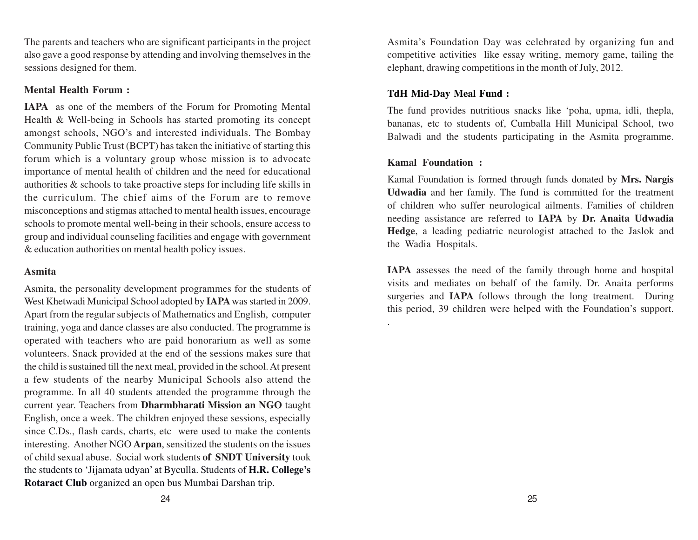The parents and teachers who are significant participants in the project also gave a good response by attending and involving themselves in the sessions designed for them.

#### **Mental Health Forum :**

**IAPA** as one of the members of the Forum for Promoting Mental Health & Well-being in Schools has started promoting its concept amongst schools, NGO's and interested individuals. The Bombay Community Public Trust (BCPT) has taken the initiative of starting this forum which is a voluntary group whose mission is to advocate importance of mental health of children and the need for educational authorities & schools to take proactive steps for including life skills in the curriculum. The chief aims of the Forum are to remove misconceptions and stigmas attached to mental health issues, encourage schools to promote mental well-being in their schools, ensure access to group and individual counseling facilities and engage with government & education authorities on mental health policy issues.

#### **Asmita**

Asmita, the personality development programmes for the students of West Khetwadi Municipal School adopted by **IAPA** was started in 2009. Apart from the regular subjects of Mathematics and English, computer training, yoga and dance classes are also conducted. The programme is operated with teachers who are paid honorarium as well as some volunteers. Snack provided at the end of the sessions makes sure that the child is sustained till the next meal, provided in the school. At present a few students of the nearby Municipal Schools also attend the programme. In all 40 students attended the programme through the current year. Teachers from **Dharmbharati Mission an NGO** taught English, once a week. The children enjoyed these sessions, especially since C.Ds., flash cards, charts, etc were used to make the contents interesting. Another NGO **Arpan**, sensitized the students on the issues of child sexual abuse. Social work students **of SNDT University** took the students to 'Jijamata udyan' at Byculla. Students of **H.R. College's Rotaract Club** organized an open bus Mumbai Darshan trip.

Asmita's Foundation Day was celebrated by organizing fun and competitive activities like essay writing, memory game, tailing the elephant, drawing competitions in the month of July, 2012.

## **TdH Mid-Day Meal Fund :**

The fund provides nutritious snacks like 'poha, upma, idli, thepla, bananas, etc to students of, Cumballa Hill Municipal School, two Balwadi and the students participating in the Asmita programme.

#### **Kamal Foundation :**

.

Kamal Foundation is formed through funds donated by **Mrs. Nargis Udwadia** and her family. The fund is committed for the treatment of children who suffer neurological ailments. Families of children needing assistance are referred to **IAPA** by **Dr. Anaita Udwadia Hedge**, a leading pediatric neurologist attached to the Jaslok and the Wadia Hospitals.

**IAPA** assesses the need of the family through home and hospital visits and mediates on behalf of the family. Dr. Anaita performs surgeries and **IAPA** follows through the long treatment. During this period, 39 children were helped with the Foundation's support.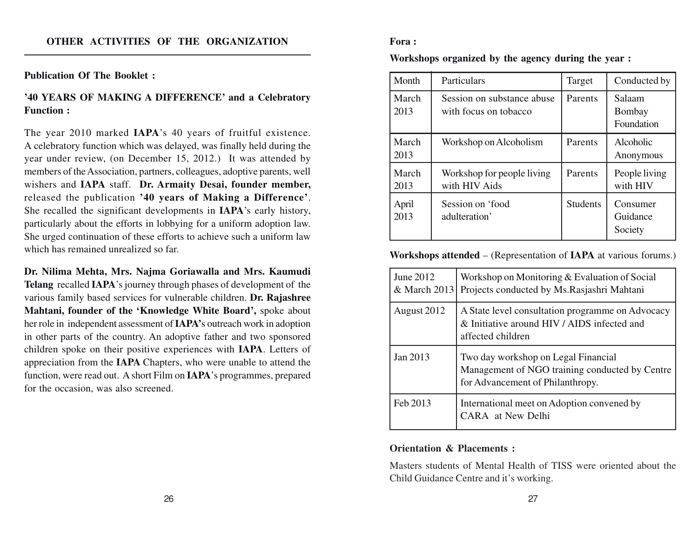#### **Publication Of The Booklet :**

#### **'40 YEARS OF MAKING A DIFFERENCE' and a Celebratory Function :**

The year 2010 marked **IAPA**'s 40 years of fruitful existence. A celebratory function which was delayed, was finally held during the year under review, (on December 15, 2012.) It was attended by members of the Association, partners, colleagues, adoptive parents, well wishers and **IAPA** staff. **Dr. Armaity Desai, founder member,** released the publication **'40 years of Making a Difference'**. She recalled the significant developments in **IAPA**'s early history, particularly about the efforts in lobbying for a uniform adoption law. She urged continuation of these efforts to achieve such a uniform law which has remained unrealized so far.

**Dr. Nilima Mehta, Mrs. Najma Goriawalla and Mrs. Kaumudi Telang** recalled **IAPA**'s journey through phases of development of the various family based services for vulnerable children. **Dr. Rajashree Mahtani, founder of the 'Knowledge White Board',** spoke about her role in independent assessment of **IAPA'**s outreach work in adoption in other parts of the country. An adoptive father and two sponsored children spoke on their positive experiences with **IAPA**. Letters of appreciation from the **IAPA** Chapters, who were unable to attend the function, were read out. A short Film on **IAPA**'s programmes, prepared for the occasion, was also screened.

#### **Fora :**

**Workshops organized by the agency during the year :**

| Month         | Particulars                                         | Target          | Conducted by                    |
|---------------|-----------------------------------------------------|-----------------|---------------------------------|
| March<br>2013 | Session on substance abuse<br>with focus on tobacco | Parents         | Salaam<br>Bombay<br>Foundation  |
| March<br>2013 | Workshop on Alcoholism                              | Parents         | Alcoholic<br>Anonymous          |
| March<br>2013 | Workshop for people living<br>with HIV Aids         | Parents         | People living<br>with HIV       |
| April<br>2013 | Session on 'food<br>adulteration'                   | <b>Students</b> | Consumer<br>Guidance<br>Society |

**Workshops attended** – (Representation of **IAPA** at various forums.)

| June 2012<br>& March 2013 | Workshop on Monitoring & Evaluation of Social<br>Projects conducted by Ms. Rasjashri Mahtani                              |
|---------------------------|---------------------------------------------------------------------------------------------------------------------------|
| August 2012               | A State level consultation programme on Advocacy<br>& Initiative around HIV / AIDS infected and<br>affected children      |
| Jan 2013                  | Two day workshop on Legal Financial<br>Management of NGO training conducted by Centre<br>for Advancement of Philanthropy. |
| Feb 2013                  | International meet on Adoption convened by<br>CARA at New Delhi                                                           |

#### **Orientation & Placements :**

Masters students of Mental Health of TISS were oriented about the Child Guidance Centre and it's working.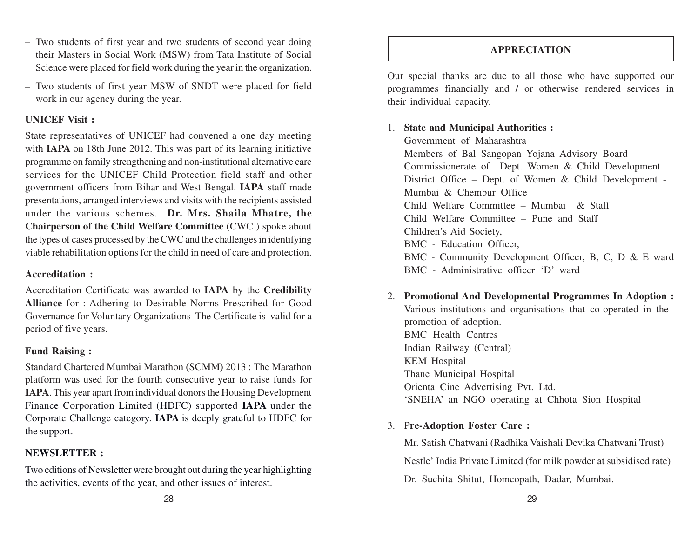– Two students of first year and two students of second year doing their Masters in Social Work (MSW) from Tata Institute of Social Science were placed for field work during the year in the organization.

– Two students of first year MSW of SNDT were placed for field work in our agency during the year.

#### **UNICEF Visit :**

State representatives of UNICEF had convened a one day meeting with **IAPA** on 18th June 2012. This was part of its learning initiative programme on family strengthening and non-institutional alternative care services for the UNICEF Child Protection field staff and other government officers from Bihar and West Bengal. **IAPA** staff made presentations, arranged interviews and visits with the recipients assisted under the various schemes. **Dr. Mrs. Shaila Mhatre, the Chairperson of the Child Welfare Committee** (CWC ) spoke about the types of cases processed by the CWC and the challenges in identifying viable rehabilitation options for the child in need of care and protection.

#### **Accreditation :**

Accreditation Certificate was awarded to **IAPA** by the **Credibility Alliance** for : Adhering to Desirable Norms Prescribed for Good Governance for Voluntary Organizations The Certificate is valid for a period of five years.

#### **Fund Raising :**

Standard Chartered Mumbai Marathon (SCMM) 2013 : The Marathon platform was used for the fourth consecutive year to raise funds for **IAPA**. This year apart from individual donors the Housing Development Finance Corporation Limited (HDFC) supported **IAPA** under the Corporate Challenge category. **IAPA** is deeply grateful to HDFC for the support.

#### **NEWSLETTER :**

Two editions of Newsletter were brought out during the year highlighting the activities, events of the year, and other issues of interest.

#### **APPRECIATION**

Our special thanks are due to all those who have supported our programmes financially and / or otherwise rendered services in their individual capacity.

## 1. **State and Municipal Authorities :**

Government of Maharashtra Members of Bal Sangopan Yojana Advisory Board Commissionerate of Dept. Women & Child Development District Office – Dept. of Women & Child Development - Mumbai & Chembur Office Child Welfare Committee – Mumbai & Staff Child Welfare Committee – Pune and Staff Children's Aid Society, BMC - Education Officer, BMC - Community Development Officer, B, C, D & E ward BMC - Administrative officer 'D' ward

2. **Promotional And Developmental Programmes In Adoption :** Various institutions and organisations that co-operated in the promotion of adoption. BMC Health Centres Indian Railway (Central) KEM Hospital Thane Municipal Hospital Orienta Cine Advertising Pvt. Ltd. 'SNEHA' an NGO operating at Chhota Sion Hospital

## 3. P**re-Adoption Foster Care :**

Mr. Satish Chatwani (Radhika Vaishali Devika Chatwani Trust) Nestle' India Private Limited (for milk powder at subsidised rate) Dr. Suchita Shitut, Homeopath, Dadar, Mumbai.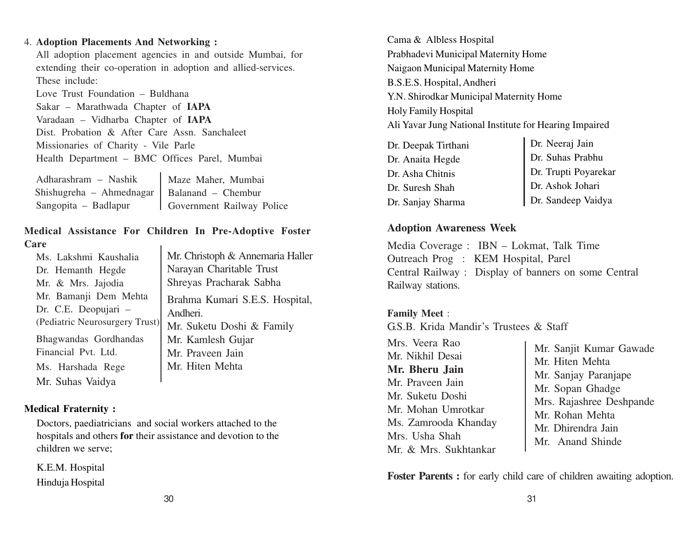#### 4. **Adoption Placements And Networking :**

All adoption placement agencies in and outside Mumbai, for extending their co-operation in adoption and allied-services. These include:

Love Trust Foundation – Buldhana Sakar – Marathwada Chapter of **IAPA** Varadaan – Vidharba Chapter of **IAPA** Dist. Probation & After Care Assn. Sanchaleet Missionaries of Charity - Vile Parle Health Department – BMC Offices Parel, Mumbai

| Adharashram - Nashik                          | Maze Maher, Mumbai        |
|-----------------------------------------------|---------------------------|
| Shishugreha - Ahmednagar   Balanand - Chembur |                           |
| Sangopita – Badlapur                          | Government Railway Police |

#### **Medical Assistance For Children In Pre-Adoptive Foster Care**  $\mathbf{I}$

| Ms. Lakshmi Kaushalia          | Mr. Christoph & Annemaria Haller |
|--------------------------------|----------------------------------|
| Dr. Hemanth Hegde              | Narayan Charitable Trust         |
| Mr. & Mrs. Jajodia             | Shreyas Pracharak Sabha          |
| Mr. Bamanji Dem Mehta          | Brahma Kumari S.E.S. Hospital,   |
| Dr. C.E. Deopujari -           | Andheri.                         |
| (Pediatric Neurosurgery Trust) | Mr. Suketu Doshi & Family        |
| Bhagwandas Gordhandas          | Mr. Kamlesh Gujar                |
| Financial Pvt. Ltd.            | Mr. Praveen Jain                 |
| Ms. Harshada Rege              | Mr. Hiten Mehta                  |
| Mr. Suhas Vaidya               |                                  |

#### **Medical Fraternity :**

Doctors, paediatricians and social workers attached to the hospitals and others **for** their assistance and devotion to the children we serve;

K.E.M. Hospital Hinduja Hospital Cama & Albless Hospital Prabhadevi Municipal Maternity Home Naigaon Municipal Maternity Home B.S.E.S. Hospital, Andheri Y.N. Shirodkar Municipal Maternity Home Holy Family Hospital Ali Yavar Jung National Institute for Hearing Impaired

| Dr. Deepak Tirthani |                                          |
|---------------------|------------------------------------------|
| Dr. Anaita Hegde    | Dr. Neeraj Jain<br>Dr. Suhas Prabhu      |
| Dr. Asha Chitnis    | Dr. Trupti Poyarekar<br>Dr. Ashok Johari |
| Dr. Suresh Shah     |                                          |
| Dr. Sanjay Sharma   | Dr. Sandeep Vaidya                       |

#### **Adoption Awareness Week**

Media Coverage : IBN – Lokmat, Talk Time Outreach Prog : KEM Hospital, Parel Central Railway : Display of banners on some Central Railway stations.

#### **Family Meet** :

G.S.B. Krida Mandir's Trustees & Staff

| Mrs. Veera Rao<br>Mr. Nikhil Desai<br>Mr. Bheru Jain<br>Mr. Praveen Jain<br>Mr. Suketu Doshi<br>Mr. Mohan Umrotkar<br>Ms. Zamrooda Khanday<br>Mrs. Usha Shah | Mr. Sanjit Kumar Gawade<br>Mr. Hiten Mehta<br>Mr. Sanjay Paranjape<br>Mr. Sopan Ghadge<br>Mrs. Rajashree Deshpande<br>Mr. Rohan Mehta<br>Mr. Dhirendra Jain |
|--------------------------------------------------------------------------------------------------------------------------------------------------------------|-------------------------------------------------------------------------------------------------------------------------------------------------------------|
| Mr. & Mrs. Sukhtankar                                                                                                                                        | Mr. Anand Shinde                                                                                                                                            |

Foster Parents : for early child care of children awaiting adoption.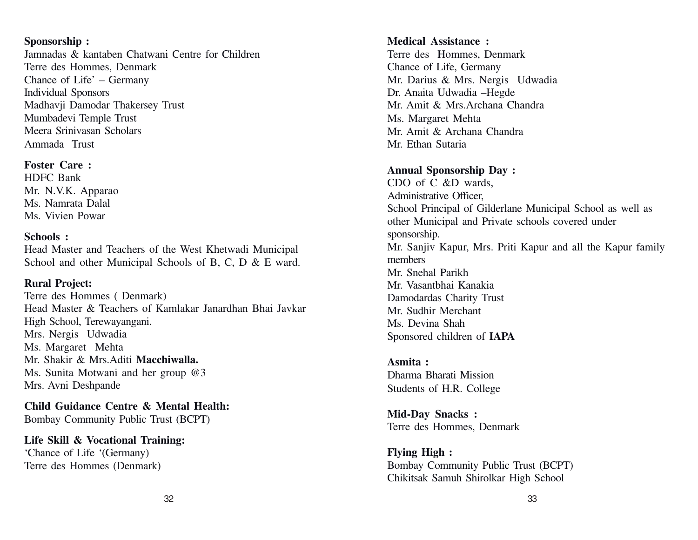#### **Sponsorship :**

Jamnadas & kantaben Chatwani Centre for Children Terre des Hommes, Denmark Chance of Life' – Germany Individual Sponsors Madhavji Damodar Thakersey Trust Mumbadevi Temple Trust Meera Srinivasan Scholars Ammada Trust

#### **Foster Care :**

HDFC Bank Mr. N.V.K. Apparao Ms. Namrata Dalal Ms. Vivien Powar

#### **Schools :**

Head Master and Teachers of the West Khetwadi Municipal School and other Municipal Schools of B, C, D & E ward.

#### **Rural Project:**

Terre des Hommes ( Denmark) Head Master & Teachers of Kamlakar Janardhan Bhai Javkar High School, Terewayangani. Mrs. Nergis Udwadia Ms. Margaret Mehta Mr. Shakir & Mrs.Aditi **Macchiwalla.** Ms. Sunita Motwani and her group @3 Mrs. Avni Deshpande

**Child Guidance Centre & Mental Health:** Bombay Community Public Trust (BCPT)

**Life Skill & Vocational Training:** 'Chance of Life '(Germany) Terre des Hommes (Denmark)

#### **Medical Assistance :**

Terre des Hommes, Denmark Chance of Life, Germany Mr. Darius & Mrs. Nergis Udwadia Dr. Anaita Udwadia –Hegde Mr. Amit & Mrs.Archana Chandra Ms. Margaret Mehta Mr. Amit & Archana Chandra Mr. Ethan Sutaria

#### **Annual Sponsorship Day :**

CDO of C &D wards, Administrative Officer, School Principal of Gilderlane Municipal School as well as other Municipal and Private schools covered under sponsorship. Mr. Sanjiv Kapur, Mrs. Priti Kapur and all the Kapur family members Mr. Snehal Parikh Mr. Vasantbhai Kanakia Damodardas Charity Trust Mr. Sudhir Merchant Ms. Devina Shah Sponsored children of **IAPA**

## **Asmita :**

Dharma Bharati Mission Students of H.R. College

**Mid-Day Snacks :** Terre des Hommes, Denmark

**Flying High :** Bombay Community Public Trust (BCPT) Chikitsak Samuh Shirolkar High School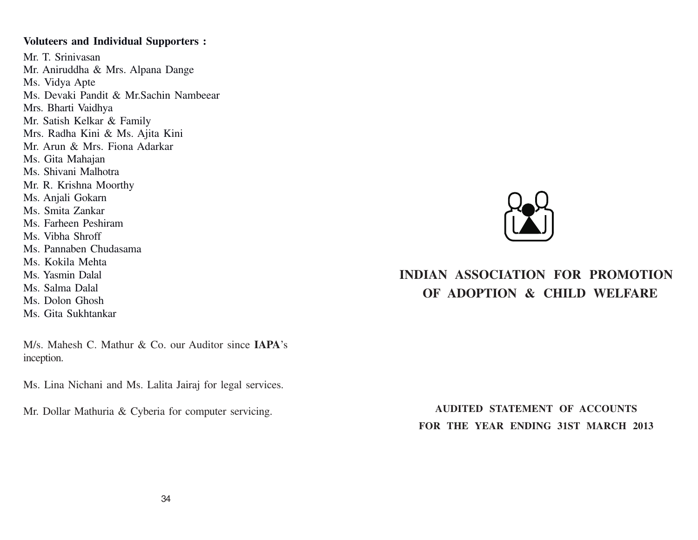#### **Voluteers and Individual Supporters :**

Mr. T. Srinivasan Mr. Aniruddha & Mrs. Alpana Dange Ms. Vidya Apte Ms. Devaki Pandit & Mr.Sachin Nambeear Mrs. Bharti Vaidhya Mr. Satish Kelkar & Family Mrs. Radha Kini & Ms. Ajita Kini Mr. Arun & Mrs. Fiona Adarkar Ms. Gita Mahajan Ms. Shivani Malhotra Mr. R. Krishna Moorthy Ms. Anjali Gokarn Ms. Smita Zankar Ms. Farheen Peshiram Ms. Vibha Shroff Ms. Pannaben Chudasama Ms. Kokila Mehta Ms. Yasmin Dalal Ms. Salma Dalal Ms. Dolon Ghosh Ms. Gita Sukhtankar

M/s. Mahesh C. Mathur & Co. our Auditor since **IAPA**'s inception.

Ms. Lina Nichani and Ms. Lalita Jairaj for legal services.

Mr. Dollar Mathuria & Cyberia for computer servicing.



# **INDIAN ASSOCIATION FOR PROMOTION OF ADOPTION & CHILD WELFARE**

**AUDITED STATEMENT OF ACCOUNTS FOR THE YEAR ENDING 31ST MARCH 2013**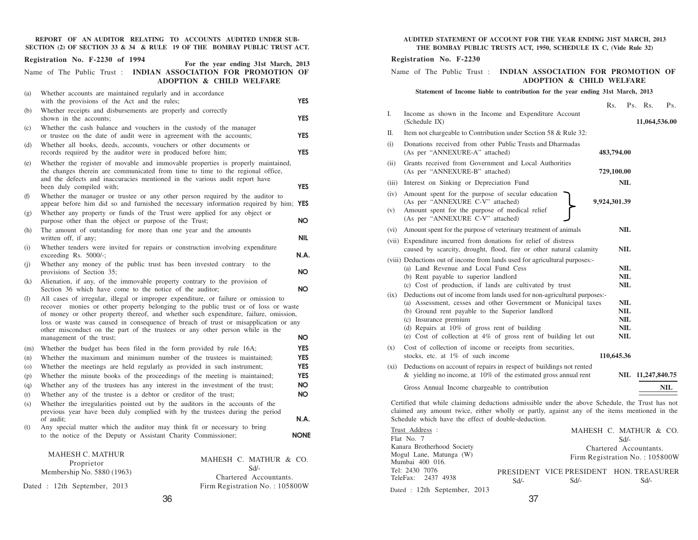**REPORT OF AN AUDITOR RELATING TO ACCOUNTS AUDITED UNDER SUB-SECTION (2) OF SECTION 33 & 34 & RULE 19 OF THE BOMBAY PUBLIC TRUST ACT.**

| Registration No. F-2230 of 1994<br>For the year ending 31st March, 2013                                                                                                                                                                                                                                                                                                                                                                                                            |
|------------------------------------------------------------------------------------------------------------------------------------------------------------------------------------------------------------------------------------------------------------------------------------------------------------------------------------------------------------------------------------------------------------------------------------------------------------------------------------|
| Name of The Public Trust : INDIAN ASSOCIATION FOR PROMOTION OF<br><b>ADOPTION &amp; CHILD WELFARE</b>                                                                                                                                                                                                                                                                                                                                                                              |
| Whether accounts are maintained regularly and in accordance<br>(a)                                                                                                                                                                                                                                                                                                                                                                                                                 |
| <b>YES</b><br>with the provisions of the Act and the rules;                                                                                                                                                                                                                                                                                                                                                                                                                        |
| Whether receipts and disbursements are properly and correctly<br>(b)<br>shown in the accounts;<br><b>YES</b>                                                                                                                                                                                                                                                                                                                                                                       |
| Whether the cash balance and vouchers in the custody of the manager<br>(c)<br>or trustee on the date of audit were in agreement with the accounts;<br><b>YES</b>                                                                                                                                                                                                                                                                                                                   |
| Whether all books, deeds, accounts, vouchers or other documents or<br>(d)<br><b>YES</b><br>records required by the auditor were in produced before him;                                                                                                                                                                                                                                                                                                                            |
| Whether the register of movable and immovable properties is properly maintained,<br>(e)<br>the changes therein are communicated from time to time to the regional office,<br>and the defects and inaccuracies mentioned in the various audit report have<br><b>YES</b><br>been duly compiled with;                                                                                                                                                                                 |
| Whether the manager or trustee or any other person required by the auditor to<br>(f)                                                                                                                                                                                                                                                                                                                                                                                               |
| appear before him did so and furnished the necessary information required by him; YES                                                                                                                                                                                                                                                                                                                                                                                              |
| Whether any property or funds of the Trust were applied for any object or<br>(g)<br>purpose other than the object or purpose of the Trust;<br>NO.                                                                                                                                                                                                                                                                                                                                  |
| The amount of outstanding for more than one year and the amounts<br>(h)<br>NIL.<br>written off, if any;                                                                                                                                                                                                                                                                                                                                                                            |
| Whether tenders were invited for repairs or construction involving expenditure<br>(i)<br>exceeding Rs. 5000/-;<br>N.A.                                                                                                                                                                                                                                                                                                                                                             |
| Whether any money of the public trust has been invested contrary<br>to the<br>(j)<br>provisions of Section 35;<br>NO.                                                                                                                                                                                                                                                                                                                                                              |
| Alienation, if any, of the immovable property contrary to the provision of<br>(k)<br><b>NO</b><br>Section 36 which have come to the notice of the auditor;                                                                                                                                                                                                                                                                                                                         |
| All cases of irregular, illegal or improper expenditure, or failure or omission to<br>(1)<br>recover monies or other property belonging to the public trust or of loss or waste<br>of money or other property thereof, and whether such expenditure, failure, omission,<br>loss or waste was caused in consequence of breach of trust or misapplication or any<br>other misconduct on the part of the trustees or any other person while in the<br>management of the trust;<br>NO. |
| <b>YES</b><br>Whether the budget has been filed in the form provided by rule 16A;<br>(m)                                                                                                                                                                                                                                                                                                                                                                                           |
| Whether the maximum and minimum number of the trustees is maintained;<br><b>YES</b><br>(n)                                                                                                                                                                                                                                                                                                                                                                                         |
| <b>YES</b><br>Whether the meetings are held regularly as provided in such instrument;<br>(0)                                                                                                                                                                                                                                                                                                                                                                                       |
| <b>YES</b><br>Whether the minute books of the proceedings of the meeting is maintained;<br>(p)                                                                                                                                                                                                                                                                                                                                                                                     |
| <b>NO</b><br>Whether any of the trustees has any interest in the investment of the trust;<br>(q)                                                                                                                                                                                                                                                                                                                                                                                   |
| <b>NO</b><br>Whether any of the trustee is a debtor or creditor of the trust;<br>(r)                                                                                                                                                                                                                                                                                                                                                                                               |
| Whether the irregularities pointed out by the auditors in the accounts of the<br>(s)<br>previous year have been duly complied with by the trustees during the period                                                                                                                                                                                                                                                                                                               |
| N.A.<br>of audit;<br>Any special matter which the auditor may think fit or necessary to bring<br>(t)                                                                                                                                                                                                                                                                                                                                                                               |
| to the notice of the Deputy or Assistant Charity Commissioner;<br><b>NONE</b>                                                                                                                                                                                                                                                                                                                                                                                                      |
| <b>MAHESH C. MATHUR</b><br>MAHESH C. MATHUR & CO.<br>Proprietor<br>$Sd/-$<br>Membership No. 5880 (1963)<br>Chartered Accountants.                                                                                                                                                                                                                                                                                                                                                  |
| Firm Registration No.: 105800W<br>Dated : 12th September, 2013                                                                                                                                                                                                                                                                                                                                                                                                                     |

#### **AUDITED STATEMENT OF ACCOUNT FOR THE YEAR ENDING 31ST MARCH, 2013 THE BOMBAY PUBLIC TRUSTS ACT, 1950, SCHEDULE IX C, (Vide Rule 32)**

#### **Registration No. F-2230**

#### Name of The Public Trust : **INDIAN ASSOCIATION FOR PROMOTION OF ADOPTION & CHILD WELFARE**

#### **Statement of Income liable to contribution for the year ending 31st March, 2013**

|             |                                                                                                                                                                                                                                                                                                                                           | Rs.                                                          |                                 | Ps. Rs.           | Ps. |
|-------------|-------------------------------------------------------------------------------------------------------------------------------------------------------------------------------------------------------------------------------------------------------------------------------------------------------------------------------------------|--------------------------------------------------------------|---------------------------------|-------------------|-----|
| Ι.          | Income as shown in the Income and Expenditure Account<br>(Schedule IX)                                                                                                                                                                                                                                                                    |                                                              |                                 | 11,064,536.00     |     |
| П.          | Item not chargeable to Contribution under Section 58 & Rule 32:                                                                                                                                                                                                                                                                           |                                                              |                                 |                   |     |
| (i)         | Donations received from other Public Trusts and Dharmadas<br>(As per "ANNEXURE-A" attached)                                                                                                                                                                                                                                               | 483,794.00                                                   |                                 |                   |     |
| (ii)        | Grants received from Government and Local Authorities<br>(As per "ANNEXURE-B" attached)                                                                                                                                                                                                                                                   | 729,100.00                                                   |                                 |                   |     |
| (iii)       | Interest on Sinking or Depreciation Fund                                                                                                                                                                                                                                                                                                  |                                                              | NIL                             |                   |     |
| (iv)<br>(v) | Amount spent for the purpose of secular education<br>(As per "ANNEXURE C-V" attached)<br>Amount spent for the purpose of medical relief<br>(As per "ANNEXURE C-V" attached)                                                                                                                                                               | 9,924,301.39                                                 |                                 |                   |     |
| (vi)        | Amount spent for the purpose of veterinary treatment of animals                                                                                                                                                                                                                                                                           |                                                              | NIL                             |                   |     |
|             | (vii) Expenditure incurred from donations for relief of distress<br>caused by scarcity, drought, flood, fire or other natural calamity                                                                                                                                                                                                    |                                                              | NIL                             |                   |     |
|             | (viii) Deductions out of income from lands used for agricultural purposes:-<br>(a) Land Revenue and Local Fund Cess<br>(b) Rent payable to superior landlord<br>(c) Cost of production, if lands are cultivated by trust                                                                                                                  |                                                              | NIL<br>NIL<br>NIL               |                   |     |
| (ix)        | Deductions out of income from lands used for non-agricultural purposes:-<br>(a) Assessment, cesses and other Government or Municipal taxes<br>(b) Ground rent payable to the Superior landlord<br>(c) Insurance premium<br>(d) Repairs at 10% of gross rent of building<br>(e) Cost of collection at 4% of gross rent of building let out |                                                              | NIL<br>NIL<br>NIL<br>NIL<br>NIL |                   |     |
| (x)         | Cost of collection of income or receipts from securities,<br>stocks, etc. at $1\%$ of such income                                                                                                                                                                                                                                         | 110,645.36                                                   |                                 |                   |     |
| (xi)        | Deductions on account of repairs in respect of buildings not rented<br>& yielding no income, at $10\%$ of the estimated gross annual rent                                                                                                                                                                                                 |                                                              |                                 | NIL 11,247,840.75 |     |
|             | Gross Annual Income chargeable to contribution                                                                                                                                                                                                                                                                                            |                                                              |                                 |                   | NIL |
|             | Certified that while claiming deductions admissible under the above Schedule, the Trust has not<br>claimed any amount twice, either wholly or partly, against any of the items mentioned in the<br>Schedule which have the effect of double-deduction.                                                                                    |                                                              |                                 |                   |     |
|             | Trust Address :<br>Flat No. 7                                                                                                                                                                                                                                                                                                             | MAHESH C. MATHUR & CO.                                       | Sd/-                            |                   |     |
|             | Kanara Brotherhood Society<br>Mogul Lane, Matunga (W)                                                                                                                                                                                                                                                                                     | Chartered Accountants.<br>$Firm$ Registration $No + 105800W$ |                                 |                   |     |

| Kanara Brotherhood Society   |      |      | Chartered Accountants.                  |
|------------------------------|------|------|-----------------------------------------|
| Mogul Lane, Matunga (W)      |      |      | Firm Registration No.: 105800W          |
| Mumbai 400 016.              |      |      |                                         |
| Tel: 2430 7076               |      |      | PRESIDENT VICE PRESIDENT HON. TREASURER |
| TeleFax: 2437 4938           | Sd/- | Sd/- | Sd/-                                    |
| Dated : 12th September, 2013 |      |      |                                         |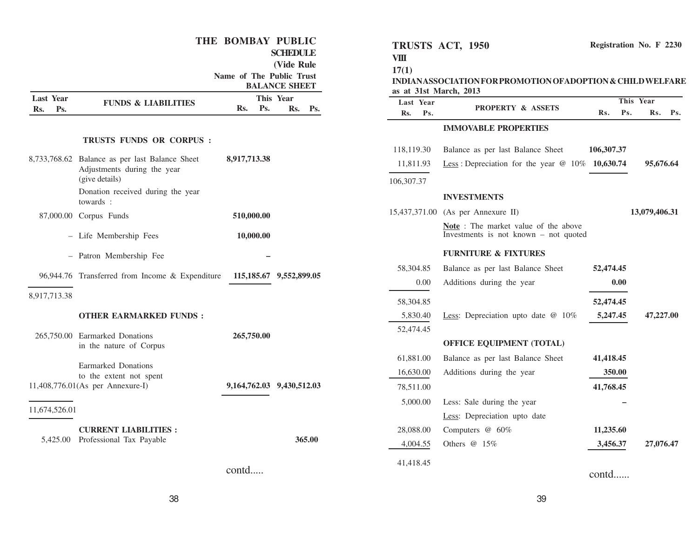|                                |                                                                               | THE BOMBAY PUBLIC<br>Name of The Public Trust | <b>SCHEDULE</b><br>(Vide Rule<br><b>BALANCE SHEET</b> | TRUSTS ACT, 1950<br><b>VIII</b><br>17(1)<br>as at 31st March, 2013 | INDIANASSOCIATION FOR PROMOTION OF ADOPTION & CHILD WELFARE                            |            | Registration No. F 2230 |
|--------------------------------|-------------------------------------------------------------------------------|-----------------------------------------------|-------------------------------------------------------|--------------------------------------------------------------------|----------------------------------------------------------------------------------------|------------|-------------------------|
| <b>Last Year</b><br>Ps.<br>Rs. | <b>FUNDS &amp; LIABILITIES</b>                                                | Rs.<br>Ps.                                    | This Year<br>Rs. Ps.                                  | Last Year<br>Rs.<br>Ps.                                            | <b>PROPERTY &amp; ASSETS</b>                                                           | Rs.<br>Ps. | This Year<br>Rs. Ps.    |
|                                |                                                                               |                                               |                                                       |                                                                    | <b>IMMOVABLE PROPERTIES</b>                                                            |            |                         |
|                                | <b>TRUSTS FUNDS OR CORPUS:</b>                                                |                                               |                                                       | 118,119.30                                                         | Balance as per last Balance Sheet                                                      | 106,307.37 |                         |
|                                | 8,733,768.62 Balance as per last Balance Sheet<br>Adjustments during the year | 8,917,713.38                                  |                                                       | 11,811.93                                                          | Less: Depreciation for the year $@$ 10% 10,630.74                                      |            | 95,676.64               |
|                                | (give details)                                                                |                                               |                                                       | 106,307.37                                                         |                                                                                        |            |                         |
|                                | Donation received during the year<br>towards :                                |                                               |                                                       |                                                                    | <b>INVESTMENTS</b>                                                                     |            |                         |
|                                | 87,000.00 Corpus Funds                                                        | 510,000.00                                    |                                                       |                                                                    | 15,437,371.00 (As per Annexure II)                                                     |            | 13,079,406.31           |
|                                | - Life Membership Fees                                                        | 10,000.00                                     |                                                       |                                                                    | <b>Note</b> : The market value of the above<br>Investments is not known $-$ not quoted |            |                         |
|                                | - Patron Membership Fee                                                       |                                               |                                                       |                                                                    | <b>FURNITURE &amp; FIXTURES</b>                                                        |            |                         |
|                                |                                                                               |                                               |                                                       | 58,304.85                                                          | Balance as per last Balance Sheet                                                      | 52,474.45  |                         |
|                                | 96,944.76 Transferred from Income & Expenditure                               |                                               | 115,185.67 9,552,899.05                               | 0.00                                                               | Additions during the year                                                              | 0.00       |                         |
| 8,917,713.38                   |                                                                               |                                               |                                                       | 58,304.85                                                          |                                                                                        | 52,474.45  |                         |
|                                | <b>OTHER EARMARKED FUNDS:</b>                                                 |                                               |                                                       | 5,830.40                                                           | Less: Depreciation upto date $@$ 10%                                                   | 5,247.45   | 47,227.00               |
|                                |                                                                               |                                               |                                                       | 52,474.45                                                          |                                                                                        |            |                         |
|                                | 265,750.00 Earmarked Donations<br>in the nature of Corpus                     | 265,750.00                                    |                                                       |                                                                    | OFFICE EQUIPMENT (TOTAL)                                                               |            |                         |
|                                |                                                                               |                                               |                                                       | 61,881.00                                                          | Balance as per last Balance Sheet                                                      | 41,418.45  |                         |
|                                | Earmarked Donations<br>to the extent not spent                                |                                               |                                                       | 16,630.00                                                          | Additions during the year                                                              | 350.00     |                         |
|                                | 11,408,776.01(As per Annexure-I)                                              |                                               | 9,164,762.03 9,430,512.03                             | 78,511.00                                                          |                                                                                        | 41,768.45  |                         |
|                                |                                                                               |                                               |                                                       | 5,000.00                                                           | Less: Sale during the year                                                             |            |                         |
| 11,674,526.01                  |                                                                               |                                               |                                                       |                                                                    | Less: Depreciation upto date                                                           |            |                         |
|                                | <b>CURRENT LIABILITIES:</b>                                                   |                                               |                                                       | 28,088.00                                                          | Computers @ 60%                                                                        | 11,235.60  |                         |
|                                | 5,425.00 Professional Tax Payable                                             |                                               | 365.00                                                | 4,004.55                                                           | Others @ 15%                                                                           | 3,456.37   | 27,076.47               |
|                                |                                                                               | contd                                         |                                                       | 41,418.45                                                          |                                                                                        | contd      |                         |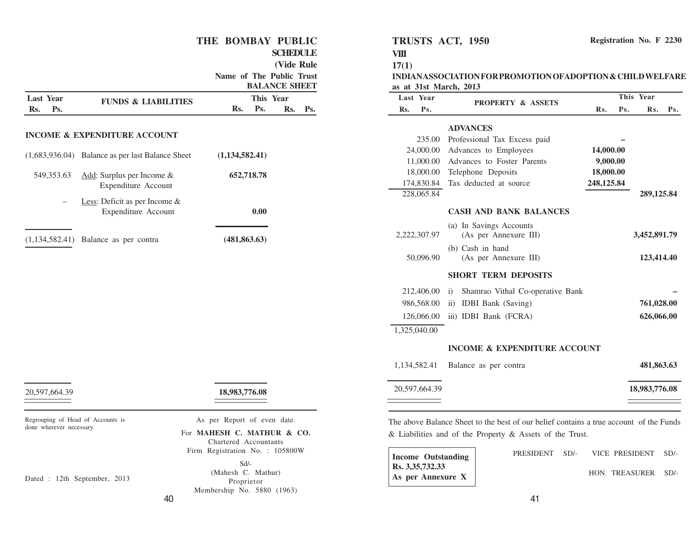#### **THE BOMBAY PUBLIC**

#### **SCHEDULE**

**(Vide Rule**

**Name of The Public Trust BALANCE SHEET** 

|                                |                                                         |                |            | BALANCE SHEET    |     |
|--------------------------------|---------------------------------------------------------|----------------|------------|------------------|-----|
| <b>Last Year</b><br>Ps.<br>Rs. | <b>FUNDS &amp; LIABILITIES</b>                          | Rs.            | Ps.        | This Year<br>Rs. | Ps. |
|                                |                                                         |                |            |                  |     |
|                                | <b>INCOME &amp; EXPENDITURE ACCOUNT</b>                 |                |            |                  |     |
|                                | $(1,683,936.04)$ Balance as per last Balance Sheet      | (1,134,582.41) |            |                  |     |
| 549, 353. 63                   | Add: Surplus per Income &<br>Expenditure Account        |                | 652,718.78 |                  |     |
|                                | Less: Deficit as per Income $\&$<br>Expenditure Account |                | 0.00       |                  |     |
|                                | $(1,134,582.41)$ Balance as per contra                  | (481, 863, 63) |            |                  |     |
|                                |                                                         |                |            |                  |     |

| 20,597,664.39 | 18,983,776.08 |
|---------------|---------------|
|---------------|---------------|

Regrouping of Head of Accounts is done wherever necessary.

As per Report of even date.

For **MAHESH C. MATHUR & CO.** Chartered Accountants Firm Registration No. : 105800W

> Sd/- (Mahesh C. Mathur) Proprietor Membership No. 5880 (1963)

**TRUSTS ACT, 1950**

**VIII 17(1)**

**INDIAN ASSOCIATION FOR PROMOTION OFADOPTION & CHILD WELFARE as at 31st March, 2013**

| Last Year     | <b>PROPERTY &amp; ASSETS</b>                     | This Year  |     |               |     |
|---------------|--------------------------------------------------|------------|-----|---------------|-----|
| Rs.<br>Ps.    |                                                  | Rs.        | Ps. | Rs.           | Ps. |
|               | <b>ADVANCES</b>                                  |            |     |               |     |
| 235.00        | Professional Tax Excess paid                     |            |     |               |     |
| 24,000.00     | Advances to Employees                            | 14,000.00  |     |               |     |
| 11,000.00     | Advances to Foster Parents                       | 9,000.00   |     |               |     |
| 18,000.00     | Telephone Deposits                               | 18,000.00  |     |               |     |
| 174,830.84    | Tax deducted at source                           | 248,125.84 |     |               |     |
| 228,065.84    |                                                  |            |     | 289,125.84    |     |
|               | <b>CASH AND BANK BALANCES</b>                    |            |     |               |     |
| 2,222,307.97  | (a) In Savings Accounts<br>(As per Annexure III) |            |     | 3,452,891.79  |     |
| 50,096.90     | (b) Cash in hand<br>(As per Annexure III)        |            |     | 123,414.40    |     |
|               | <b>SHORT TERM DEPOSITS</b>                       |            |     |               |     |
| 212,406.00    | $\ddot{1}$<br>Shamrao Vithal Co-operative Bank   |            |     |               |     |
| 986,568.00    | <b>IDBI</b> Bank (Saving)<br>$\ddot{\text{1}}$   |            |     | 761,028.00    |     |
| 126,066.00    | iii) IDBI Bank (FCRA)                            |            |     | 626,066.00    |     |
| 1,325,040.00  |                                                  |            |     |               |     |
|               | <b>INCOME &amp; EXPENDITURE ACCOUNT</b>          |            |     |               |     |
| 1,134,582.41  | Balance as per contra                            |            |     | 481,863.63    |     |
| 20,597,664.39 |                                                  |            |     | 18,983,776.08 |     |

& Liabilities and of the Property & Assets of the Trust.

| <b>Income Outstanding</b> |                   |  |  |  |
|---------------------------|-------------------|--|--|--|
| Rs. 3,35,732.33           |                   |  |  |  |
|                           | As per Annexure X |  |  |  |

|  | PRESIDENT SD/- VICE PRESIDENT SD/- |  |
|--|------------------------------------|--|
|  | HON. TREASURER SD/-                |  |

Dated : 12th September, 2013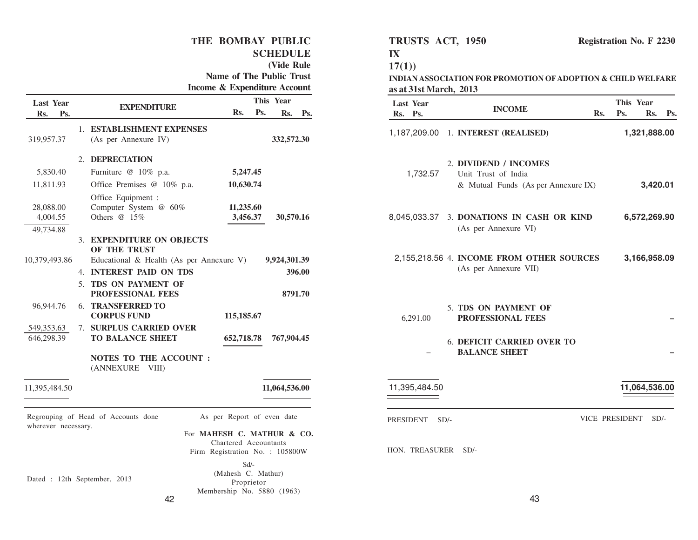**THE BOMBAY PUBLIC SCHEDULE (Vide Rule Name of The Public Trust Income & Expenditure Account Rs. Ps. EXPENDITURE Rs. Ps. Rs. Ps. Last Y This Year ear** 1. **ESTABLISHMENT EXPENSES** 319,957.37 (As per Annexure IV) **332,572.30** 2. **DEPRECIATION** 5,830.40 Furniture @ 10% p.a. **5,247.45** 11,811.93 Office Premises @ 10% p.a. **10,630.74** Office Equipment : 28,088.00 Computer System @ 60% **11,235.60** 4,004.55 Others @ 15% **3,456.37 30,570.16** 49,734.88 3. **EXPENDITURE ON OBJECTS OF THE TRUST** 10,379,493.86 Educational & Health (As per Annexure V) **9,924,301.39** 4. **INTEREST PAID ON TDS 396.00** 5. **TDS ON PAYMENT OF PROFESSIONAL FEES 8791.70** 96,944.76 6. **TRANSFERRED TO CORPUS FUND 115,185.67** 549,353.63 7. **SURPLUS CARRIED OVER** 646,298.39 **TO BALANCE SHEET 652,718.78 767,904.45 NOTES TO THE ACCOUNT :** (ANNEXURE VIII) 11,395,484.50 **11,064,536.00** Regrouping of Head of Accounts done wherever necessary. Dated : 12th September, 2013 As per Report of even date For **MAHESH C. MATHUR & CO.** Chartered Accountants Firm Registration No. : 105800W Sd/- (Mahesh C. Mathur) Proprietor

43 1,187,209.00 1. **INTEREST (REALISED) 1,321,888.00** 2. **DIVIDEND / INCOMES** 1,732.57 Unit Trust of India & Mutual Funds (As per Annexure IX) **3,420.01** 8,045,033.37 3. **DONATIONS IN CASH OR KIND 6,572,269.90** (As per Annexure VI) 2,155,218.56 4. **INCOME FROM OTHER SOURCES 3,166,958.09** (As per Annexure VII) 5. **TDS ON PAYMENT OF** 6,291.00 **PROFESSIONAL FEES –** 6. **DEFICIT CARRIED OVER TO** – **BALANCE SHEET –** 11,395,484.50 **11,064,536.00** PRESIDENT SD/-<br>VICE PRESIDENT SD/-HON. TREASURER SD/-

**INDIAN ASSOCIATION FOR PROMOTION OFADOPTION & CHILD WELFARE**

**Registration No. F 2230**

**INCOME Rs. Ps. Last Year Rs. Ps. Rs. Ps. This Year**

**TRUSTS ACT, 1950**

**as at 31st March, 2013**

**IX 17(1))**

Membership No. 5880 (1963)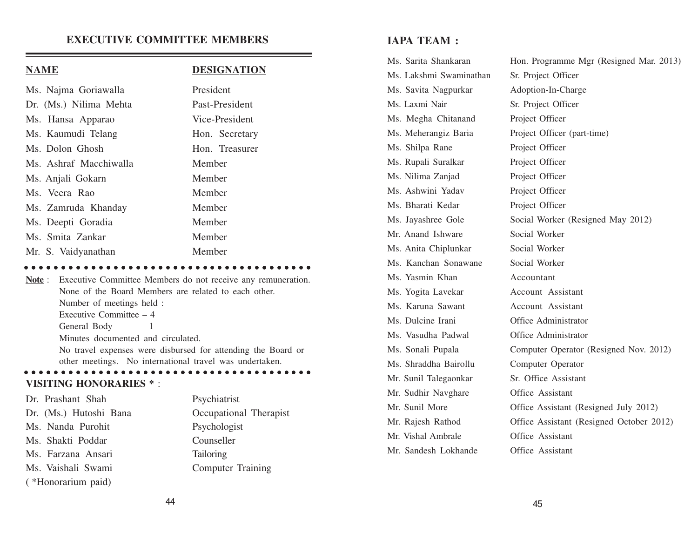#### **EXECUTIVE COMMITTEE MEMBERS**

#### **NAME DESIGNATION**

 $\bullet\hspace{0.2cm} \bullet\hspace{0.2cm} \bullet\hspace{0.2cm} \bullet\hspace{0.2cm} \bullet\hspace{0.2cm} \bullet$ 

| Ms. Najma Goriawalla   | President      |
|------------------------|----------------|
| Dr. (Ms.) Nilima Mehta | Past-President |
| Ms. Hansa Apparao      | Vice-President |
| Ms. Kaumudi Telang     | Hon. Secretary |
| Ms. Dolon Ghosh        | Hon. Treasurer |
| Ms. Ashraf Macchiwalla | Member         |
| Ms. Anjali Gokarn      | Member         |
| Ms. Veera Rao          | Member         |
| Ms. Zamruda Khanday    | Member         |
| Ms. Deepti Goradia     | Member         |
| Ms. Smita Zankar       | Member         |
| Mr. S. Vaidyanathan    | Member         |

**Note** : Executive Committee Members do not receive any remuneration. None of the Board Members are related to each other. Number of meetings held : Executive Committee – 4 General Body  $-1$ Minutes documented and circulated. No travel expenses were disbursed for attending the Board or other meetings. No international travel was undertaken. <sup>a</sup> <sup>a</sup> <sup>a</sup> <sup>a</sup> <sup>a</sup> <sup>a</sup> <sup>a</sup> <sup>a</sup> <sup>a</sup> <sup>a</sup> <sup>a</sup> <sup>a</sup> <sup>a</sup> <sup>a</sup> <sup>a</sup> <sup>a</sup> <sup>a</sup> <sup>a</sup> <sup>a</sup> <sup>a</sup> <sup>a</sup> <sup>a</sup> <sup>a</sup> <sup>a</sup> <sup>a</sup> <sup>a</sup> <sup>a</sup> <sup>a</sup> <sup>a</sup> <sup>a</sup> <sup>a</sup> <sup>a</sup> <sup>a</sup> <sup>a</sup> <sup>a</sup> <sup>a</sup> <sup>a</sup> <sup>a</sup> <sup>a</sup>

#### **VISITING HONORARIES \*** :

| Dr. Prashant Shah      | Psychiatrist             |
|------------------------|--------------------------|
| Dr. (Ms.) Hutoshi Bana | Occupational Therapist   |
| Ms. Nanda Purohit      | Psychologist             |
| Ms. Shakti Poddar      | Counseller               |
| Ms. Farzana Ansari     | <b>Tailoring</b>         |
| Ms. Vaishali Swami     | <b>Computer Training</b> |
| (*Honorarium paid)     |                          |

## **IAPA TEAM :**

| Ms. Sarita Shankaran    | Hon. Programme Mgr (Resigned Mar. 2013)  |
|-------------------------|------------------------------------------|
| Ms. Lakshmi Swaminathan | Sr. Project Officer                      |
| Ms. Savita Nagpurkar    | Adoption-In-Charge                       |
| Ms. Laxmi Nair          | Sr. Project Officer                      |
| Ms. Megha Chitanand     | Project Officer                          |
| Ms. Meherangiz Baria    | Project Officer (part-time)              |
| Ms. Shilpa Rane         | Project Officer                          |
| Ms. Rupali Suralkar     | Project Officer                          |
| Ms. Nilima Zanjad       | Project Officer                          |
| Ms. Ashwini Yadav       | Project Officer                          |
| Ms. Bharati Kedar       | Project Officer                          |
| Ms. Jayashree Gole      | Social Worker (Resigned May 2012)        |
| Mr. Anand Ishware       | Social Worker                            |
| Ms. Anita Chiplunkar    | Social Worker                            |
| Ms. Kanchan Sonawane    | Social Worker                            |
| Ms. Yasmin Khan         | Accountant                               |
| Ms. Yogita Lavekar      | Account Assistant                        |
| Ms. Karuna Sawant       | Account Assistant                        |
| Ms. Dulcine Irani       | Office Administrator                     |
| Ms. Vasudha Padwal      | Office Administrator                     |
| Ms. Sonali Pupala       | Computer Operator (Resigned Nov. 2012)   |
| Ms. Shraddha Bairollu   | Computer Operator                        |
| Mr. Sunil Talegaonkar   | Sr. Office Assistant                     |
| Mr. Sudhir Navghare     | Office Assistant                         |
| Mr. Sunil More          | Office Assistant (Resigned July 2012)    |
| Mr. Rajesh Rathod       | Office Assistant (Resigned October 2012) |
| Mr. Vishal Ambrale      | Office Assistant                         |
| Mr. Sandesh Lokhande    | Office Assistant                         |